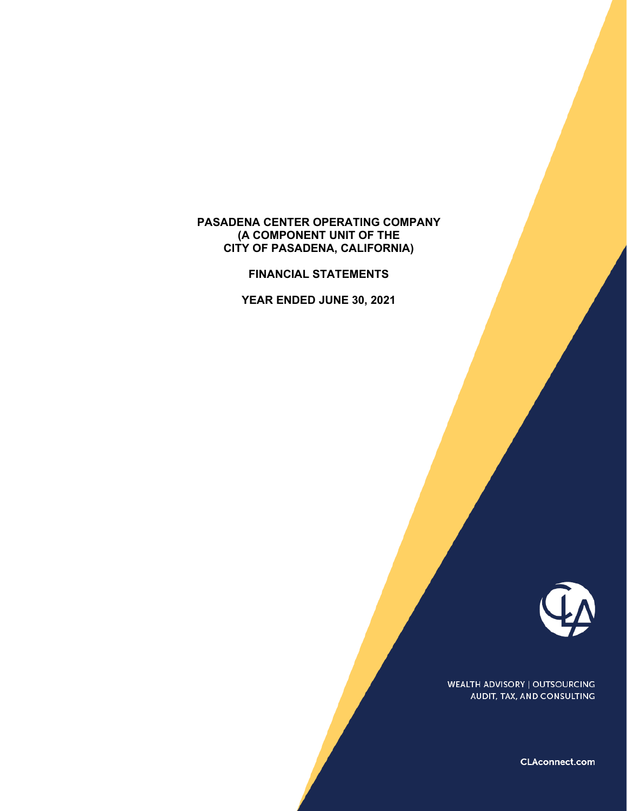### **PASADENA CENTER OPERATING COMPANY (A COMPONENT UNIT OF THE CITY OF PASADENA, CALIFORNIA)**

**FINANCIAL STATEMENTS**

**YEAR ENDED JUNE 30, 2021**



**WEALTH ADVISORY | OUTSOURCING** AUDIT, TAX, AND CONSULTING

CLAconnect.com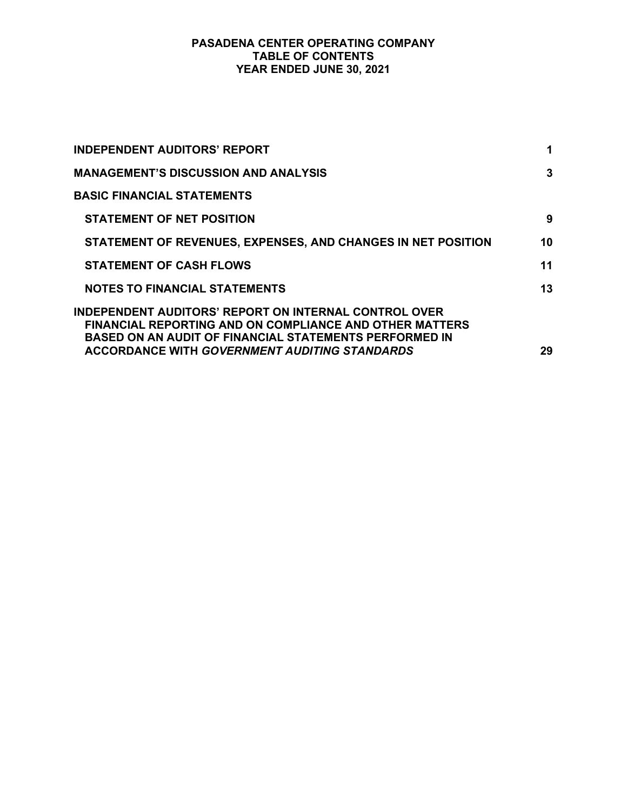# **PASADENA CENTER OPERATING COMPANY TABLE OF CONTENTS YEAR ENDED JUNE 30, 2021**

| 1  |
|----|
| 3  |
|    |
| 9  |
| 10 |
| 11 |
| 13 |
| 29 |
|    |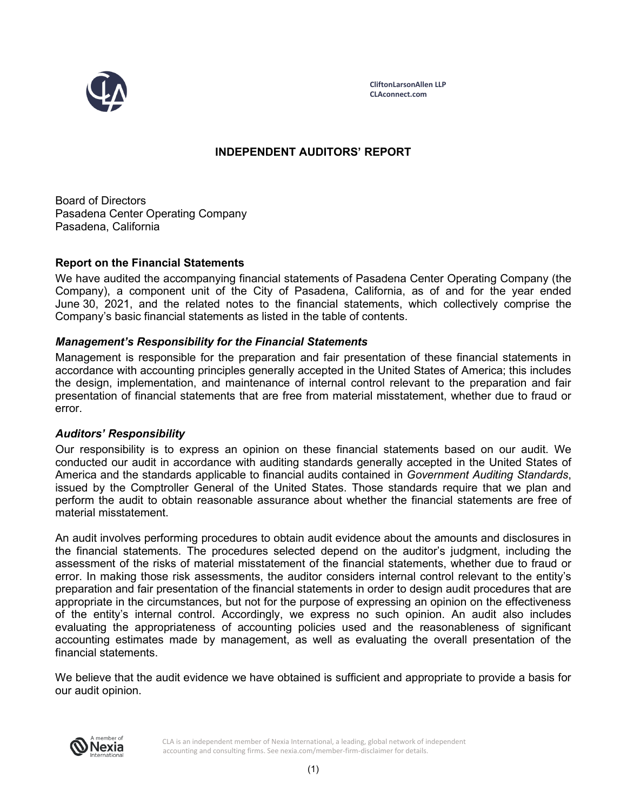

**CliftonLarsonAllen LLP CLAconnect.com**

# **INDEPENDENT AUDITORS' REPORT**

Board of Directors Pasadena Center Operating Company Pasadena, California

### **Report on the Financial Statements**

We have audited the accompanying financial statements of Pasadena Center Operating Company (the Company), a component unit of the City of Pasadena, California, as of and for the year ended June 30, 2021, and the related notes to the financial statements, which collectively comprise the Company's basic financial statements as listed in the table of contents.

### *Management's Responsibility for the Financial Statements*

Management is responsible for the preparation and fair presentation of these financial statements in accordance with accounting principles generally accepted in the United States of America; this includes the design, implementation, and maintenance of internal control relevant to the preparation and fair presentation of financial statements that are free from material misstatement, whether due to fraud or error.

#### *Auditors' Responsibility*

Our responsibility is to express an opinion on these financial statements based on our audit. We conducted our audit in accordance with auditing standards generally accepted in the United States of America and the standards applicable to financial audits contained in *Government Auditing Standards*, issued by the Comptroller General of the United States. Those standards require that we plan and perform the audit to obtain reasonable assurance about whether the financial statements are free of material misstatement.

An audit involves performing procedures to obtain audit evidence about the amounts and disclosures in the financial statements. The procedures selected depend on the auditor's judgment, including the assessment of the risks of material misstatement of the financial statements, whether due to fraud or error. In making those risk assessments, the auditor considers internal control relevant to the entity's preparation and fair presentation of the financial statements in order to design audit procedures that are appropriate in the circumstances, but not for the purpose of expressing an opinion on the effectiveness of the entity's internal control. Accordingly, we express no such opinion. An audit also includes evaluating the appropriateness of accounting policies used and the reasonableness of significant accounting estimates made by management, as well as evaluating the overall presentation of the financial statements.

We believe that the audit evidence we have obtained is sufficient and appropriate to provide a basis for our audit opinion.



CLA is an independent member of Nexia International, a leading, global network of independent accounting and consulting firms. See nexia.com/member-firm-disclaimer for details.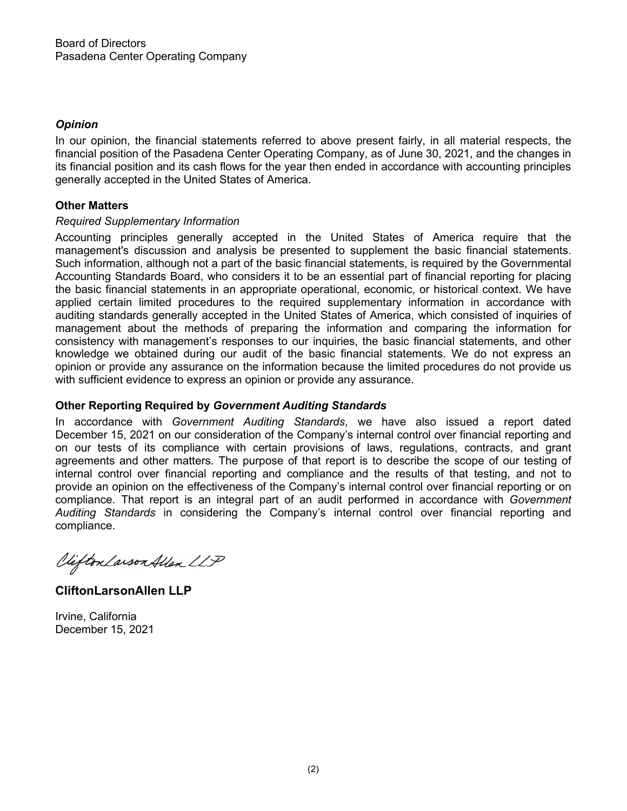## *Opinion*

In our opinion, the financial statements referred to above present fairly, in all material respects, the financial position of the Pasadena Center Operating Company, as of June 30, 2021, and the changes in its financial position and its cash flows for the year then ended in accordance with accounting principles generally accepted in the United States of America.

### **Other Matters**

### *Required Supplementary Information*

Accounting principles generally accepted in the United States of America require that the management's discussion and analysis be presented to supplement the basic financial statements. Such information, although not a part of the basic financial statements, is required by the Governmental Accounting Standards Board, who considers it to be an essential part of financial reporting for placing the basic financial statements in an appropriate operational, economic, or historical context. We have applied certain limited procedures to the required supplementary information in accordance with auditing standards generally accepted in the United States of America, which consisted of inquiries of management about the methods of preparing the information and comparing the information for consistency with management's responses to our inquiries, the basic financial statements, and other knowledge we obtained during our audit of the basic financial statements. We do not express an opinion or provide any assurance on the information because the limited procedures do not provide us with sufficient evidence to express an opinion or provide any assurance.

### **Other Reporting Required by** *Government Auditing Standards*

In accordance with *Government Auditing Standards*, we have also issued a report dated December 15, 2021 on our consideration of the Company's internal control over financial reporting and on our tests of its compliance with certain provisions of laws, regulations, contracts, and grant agreements and other matters. The purpose of that report is to describe the scope of our testing of internal control over financial reporting and compliance and the results of that testing, and not to provide an opinion on the effectiveness of the Company's internal control over financial reporting or on compliance. That report is an integral part of an audit performed in accordance with *Government Auditing Standards* in considering the Company's internal control over financial reporting and compliance.

Viifton Larson Allen LLP

**CliftonLarsonAllen LLP**

Irvine, California December 15, 2021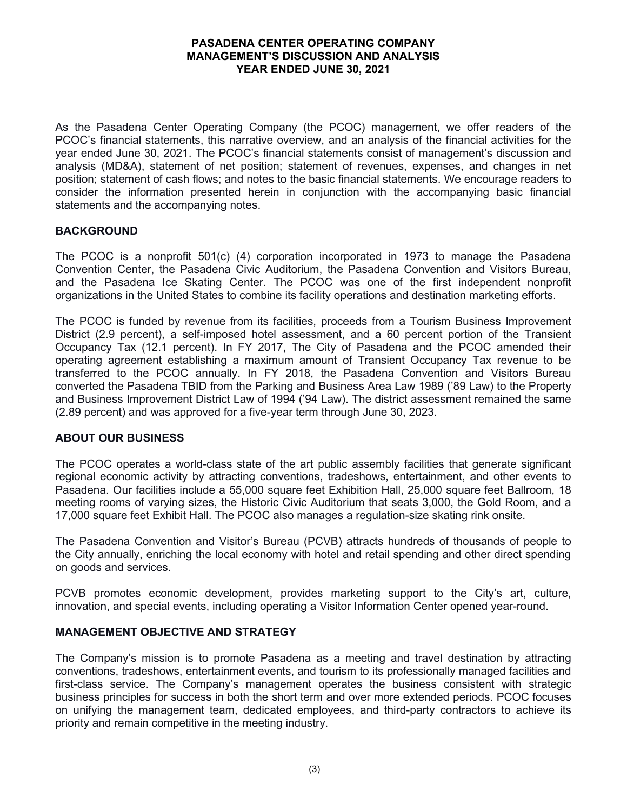As the Pasadena Center Operating Company (the PCOC) management, we offer readers of the PCOC's financial statements, this narrative overview, and an analysis of the financial activities for the year ended June 30, 2021. The PCOC's financial statements consist of management's discussion and analysis (MD&A), statement of net position; statement of revenues, expenses, and changes in net position; statement of cash flows; and notes to the basic financial statements. We encourage readers to consider the information presented herein in conjunction with the accompanying basic financial statements and the accompanying notes.

# **BACKGROUND**

The PCOC is a nonprofit 501(c) (4) corporation incorporated in 1973 to manage the Pasadena Convention Center, the Pasadena Civic Auditorium, the Pasadena Convention and Visitors Bureau, and the Pasadena Ice Skating Center. The PCOC was one of the first independent nonprofit organizations in the United States to combine its facility operations and destination marketing efforts.

The PCOC is funded by revenue from its facilities, proceeds from a Tourism Business Improvement District (2.9 percent), a self-imposed hotel assessment, and a 60 percent portion of the Transient Occupancy Tax (12.1 percent). In FY 2017, The City of Pasadena and the PCOC amended their operating agreement establishing a maximum amount of Transient Occupancy Tax revenue to be transferred to the PCOC annually. In FY 2018, the Pasadena Convention and Visitors Bureau converted the Pasadena TBID from the Parking and Business Area Law 1989 ('89 Law) to the Property and Business Improvement District Law of 1994 ('94 Law). The district assessment remained the same (2.89 percent) and was approved for a five-year term through June 30, 2023.

### **ABOUT OUR BUSINESS**

The PCOC operates a world-class state of the art public assembly facilities that generate significant regional economic activity by attracting conventions, tradeshows, entertainment, and other events to Pasadena. Our facilities include a 55,000 square feet Exhibition Hall, 25,000 square feet Ballroom, 18 meeting rooms of varying sizes, the Historic Civic Auditorium that seats 3,000, the Gold Room, and a 17,000 square feet Exhibit Hall. The PCOC also manages a regulation-size skating rink onsite.

The Pasadena Convention and Visitor's Bureau (PCVB) attracts hundreds of thousands of people to the City annually, enriching the local economy with hotel and retail spending and other direct spending on goods and services.

PCVB promotes economic development, provides marketing support to the City's art, culture, innovation, and special events, including operating a Visitor Information Center opened year-round.

### **MANAGEMENT OBJECTIVE AND STRATEGY**

The Company's mission is to promote Pasadena as a meeting and travel destination by attracting conventions, tradeshows, entertainment events, and tourism to its professionally managed facilities and first-class service. The Company's management operates the business consistent with strategic business principles for success in both the short term and over more extended periods. PCOC focuses on unifying the management team, dedicated employees, and third-party contractors to achieve its priority and remain competitive in the meeting industry.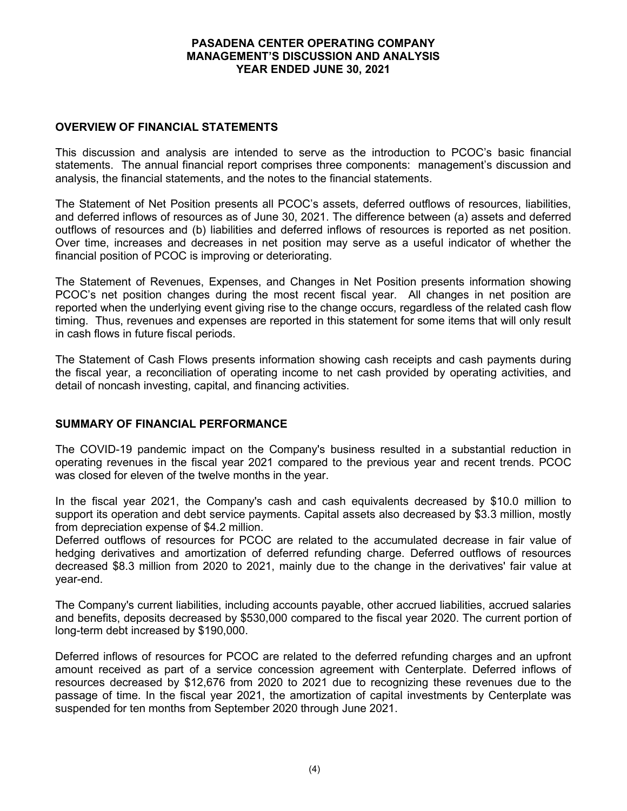### **OVERVIEW OF FINANCIAL STATEMENTS**

This discussion and analysis are intended to serve as the introduction to PCOC's basic financial statements. The annual financial report comprises three components: management's discussion and analysis, the financial statements, and the notes to the financial statements.

The Statement of Net Position presents all PCOC's assets, deferred outflows of resources, liabilities, and deferred inflows of resources as of June 30, 2021. The difference between (a) assets and deferred outflows of resources and (b) liabilities and deferred inflows of resources is reported as net position. Over time, increases and decreases in net position may serve as a useful indicator of whether the financial position of PCOC is improving or deteriorating.

The Statement of Revenues, Expenses, and Changes in Net Position presents information showing PCOC's net position changes during the most recent fiscal year. All changes in net position are reported when the underlying event giving rise to the change occurs, regardless of the related cash flow timing. Thus, revenues and expenses are reported in this statement for some items that will only result in cash flows in future fiscal periods.

The Statement of Cash Flows presents information showing cash receipts and cash payments during the fiscal year, a reconciliation of operating income to net cash provided by operating activities, and detail of noncash investing, capital, and financing activities.

### **SUMMARY OF FINANCIAL PERFORMANCE**

The COVID-19 pandemic impact on the Company's business resulted in a substantial reduction in operating revenues in the fiscal year 2021 compared to the previous year and recent trends. PCOC was closed for eleven of the twelve months in the year.

In the fiscal year 2021, the Company's cash and cash equivalents decreased by \$10.0 million to support its operation and debt service payments. Capital assets also decreased by \$3.3 million, mostly from depreciation expense of \$4.2 million.

Deferred outflows of resources for PCOC are related to the accumulated decrease in fair value of hedging derivatives and amortization of deferred refunding charge. Deferred outflows of resources decreased \$8.3 million from 2020 to 2021, mainly due to the change in the derivatives' fair value at year-end.

The Company's current liabilities, including accounts payable, other accrued liabilities, accrued salaries and benefits, deposits decreased by \$530,000 compared to the fiscal year 2020. The current portion of long-term debt increased by \$190,000.

Deferred inflows of resources for PCOC are related to the deferred refunding charges and an upfront amount received as part of a service concession agreement with Centerplate. Deferred inflows of resources decreased by \$12,676 from 2020 to 2021 due to recognizing these revenues due to the passage of time. In the fiscal year 2021, the amortization of capital investments by Centerplate was suspended for ten months from September 2020 through June 2021.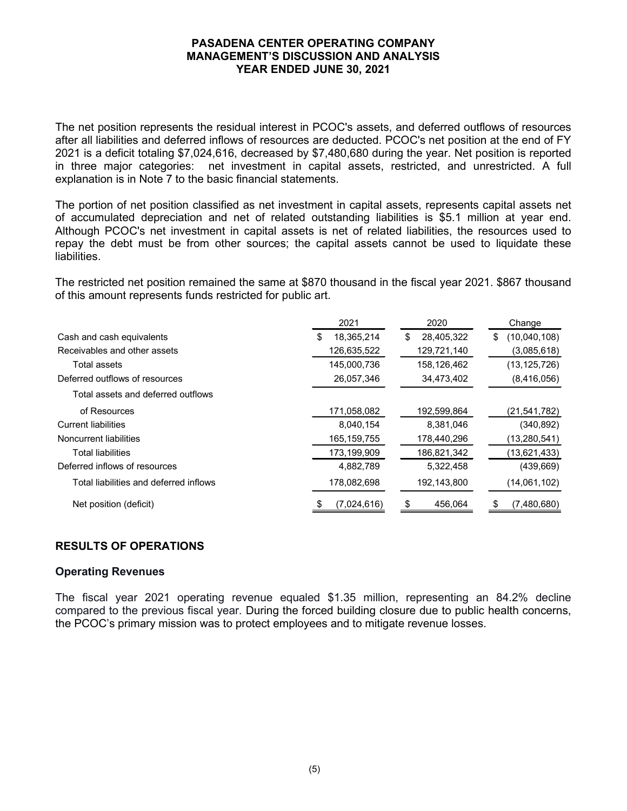The net position represents the residual interest in PCOC's assets, and deferred outflows of resources after all liabilities and deferred inflows of resources are deducted. PCOC's net position at the end of FY 2021 is a deficit totaling \$7,024,616, decreased by \$7,480,680 during the year. Net position is reported in three major categories: net investment in capital assets, restricted, and unrestricted. A full explanation is in Note 7 to the basic financial statements.

The portion of net position classified as net investment in capital assets, represents capital assets net of accumulated depreciation and net of related outstanding liabilities is \$5.1 million at year end. Although PCOC's net investment in capital assets is net of related liabilities, the resources used to repay the debt must be from other sources; the capital assets cannot be used to liquidate these liabilities.

The restricted net position remained the same at \$870 thousand in the fiscal year 2021. \$867 thousand of this amount represents funds restricted for public art.

|                                        | 2021            | 2020             | Change             |
|----------------------------------------|-----------------|------------------|--------------------|
| Cash and cash equivalents              | 18,365,214<br>S | 28,405,322<br>\$ | (10,040,108)<br>\$ |
| Receivables and other assets           | 126,635,522     | 129,721,140      | (3.085.618)        |
| Total assets                           | 145,000,736     | 158,126,462      | (13, 125, 726)     |
| Deferred outflows of resources         | 26,057,346      | 34,473,402       | (8,416,056)        |
| Total assets and deferred outflows     |                 |                  |                    |
| of Resources                           | 171,058,082     | 192,599,864      | (21,541,782)       |
| <b>Current liabilities</b>             | 8,040,154       | 8,381,046        | (340,892)          |
| Noncurrent liabilities                 | 165, 159, 755   | 178,440,296      | (13,280,541)       |
| Total liabilities                      | 173,199,909     | 186,821,342      | (13,621,433)       |
| Deferred inflows of resources          | 4,882,789       | 5,322,458        | (439, 669)         |
| Total liabilities and deferred inflows | 178,082,698     | 192,143,800      | (14,061,102)       |
| Net position (deficit)                 | (7,024,616)     | 456,064          | (7,480,680)        |

### **RESULTS OF OPERATIONS**

#### **Operating Revenues**

The fiscal year 2021 operating revenue equaled \$1.35 million, representing an 84.2% decline compared to the previous fiscal year. During the forced building closure due to public health concerns, the PCOC's primary mission was to protect employees and to mitigate revenue losses.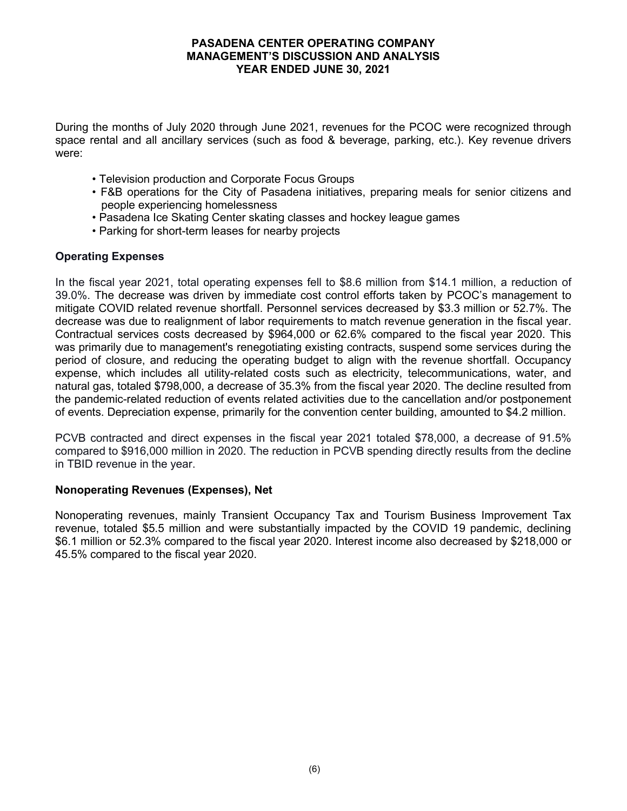During the months of July 2020 through June 2021, revenues for the PCOC were recognized through space rental and all ancillary services (such as food & beverage, parking, etc.). Key revenue drivers were:

- Television production and Corporate Focus Groups
- F&B operations for the City of Pasadena initiatives, preparing meals for senior citizens and people experiencing homelessness
- Pasadena Ice Skating Center skating classes and hockey league games
- Parking for short-term leases for nearby projects

### **Operating Expenses**

In the fiscal year 2021, total operating expenses fell to \$8.6 million from \$14.1 million, a reduction of 39.0%. The decrease was driven by immediate cost control efforts taken by PCOC's management to mitigate COVID related revenue shortfall. Personnel services decreased by \$3.3 million or 52.7%. The decrease was due to realignment of labor requirements to match revenue generation in the fiscal year. Contractual services costs decreased by \$964,000 or 62.6% compared to the fiscal year 2020. This was primarily due to management's renegotiating existing contracts, suspend some services during the period of closure, and reducing the operating budget to align with the revenue shortfall. Occupancy expense, which includes all utility-related costs such as electricity, telecommunications, water, and natural gas, totaled \$798,000, a decrease of 35.3% from the fiscal year 2020. The decline resulted from the pandemic-related reduction of events related activities due to the cancellation and/or postponement of events. Depreciation expense, primarily for the convention center building, amounted to \$4.2 million.

PCVB contracted and direct expenses in the fiscal year 2021 totaled \$78,000, a decrease of 91.5% compared to \$916,000 million in 2020. The reduction in PCVB spending directly results from the decline in TBID revenue in the year.

#### **Nonoperating Revenues (Expenses), Net**

Nonoperating revenues, mainly Transient Occupancy Tax and Tourism Business Improvement Tax revenue, totaled \$5.5 million and were substantially impacted by the COVID 19 pandemic, declining \$6.1 million or 52.3% compared to the fiscal year 2020. Interest income also decreased by \$218,000 or 45.5% compared to the fiscal year 2020.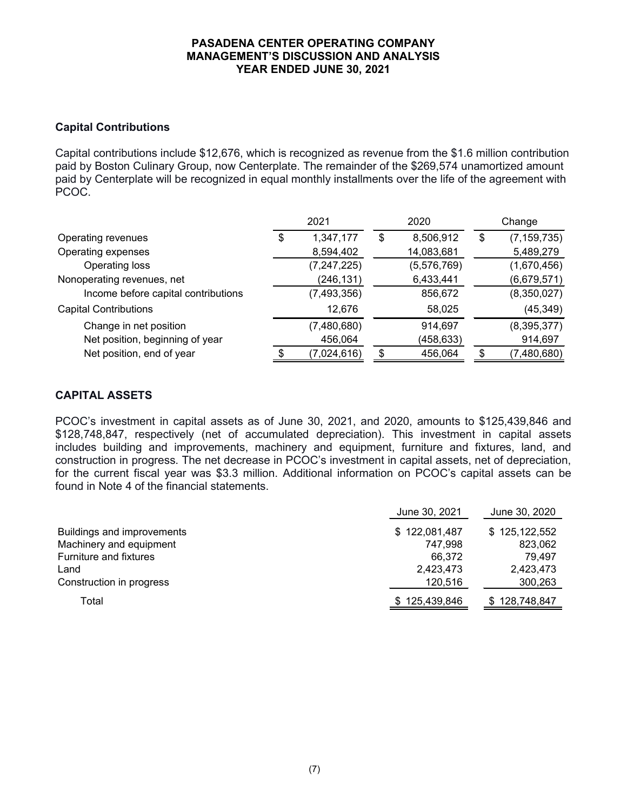### **Capital Contributions**

Capital contributions include \$12,676, which is recognized as revenue from the \$1.6 million contribution paid by Boston Culinary Group, now Centerplate. The remainder of the \$269,574 unamortized amount paid by Centerplate will be recognized in equal monthly installments over the life of the agreement with PCOC.

|                                     | 2021            |    | 2020        | Change              |
|-------------------------------------|-----------------|----|-------------|---------------------|
| Operating revenues                  | \$<br>1,347,177 | \$ | 8,506,912   | \$<br>(7, 159, 735) |
| Operating expenses                  | 8,594,402       |    | 14,083,681  | 5,489,279           |
| Operating loss                      | (7, 247, 225)   |    | (5,576,769) | (1,670,456)         |
| Nonoperating revenues, net          | (246,131)       |    | 6,433,441   | (6,679,571)         |
| Income before capital contributions | (7, 493, 356)   |    | 856,672     | (8,350,027)         |
| <b>Capital Contributions</b>        | 12,676          |    | 58,025      | (45, 349)           |
| Change in net position              | (7,480,680)     |    | 914,697     | (8, 395, 377)       |
| Net position, beginning of year     | 456,064         |    | (458, 633)  | 914,697             |
| Net position, end of year           | (7,024,616)     | S  | 456,064     | \$<br>(7,480,680)   |

### **CAPITAL ASSETS**

PCOC's investment in capital assets as of June 30, 2021, and 2020, amounts to \$125,439,846 and \$128,748,847, respectively (net of accumulated depreciation). This investment in capital assets includes building and improvements, machinery and equipment, furniture and fixtures, land, and construction in progress. The net decrease in PCOC's investment in capital assets, net of depreciation, for the current fiscal year was \$3.3 million. Additional information on PCOC's capital assets can be found in Note 4 of the financial statements.

|                            | June 30, 2021 | June 30, 2020 |
|----------------------------|---------------|---------------|
| Buildings and improvements | \$122,081,487 | \$125,122,552 |
| Machinery and equipment    | 747,998       | 823,062       |
| Furniture and fixtures     | 66.372        | 79.497        |
| Land                       | 2,423,473     | 2,423,473     |
| Construction in progress   | 120.516       | 300,263       |
| Total                      | \$125,439,846 | \$128,748,847 |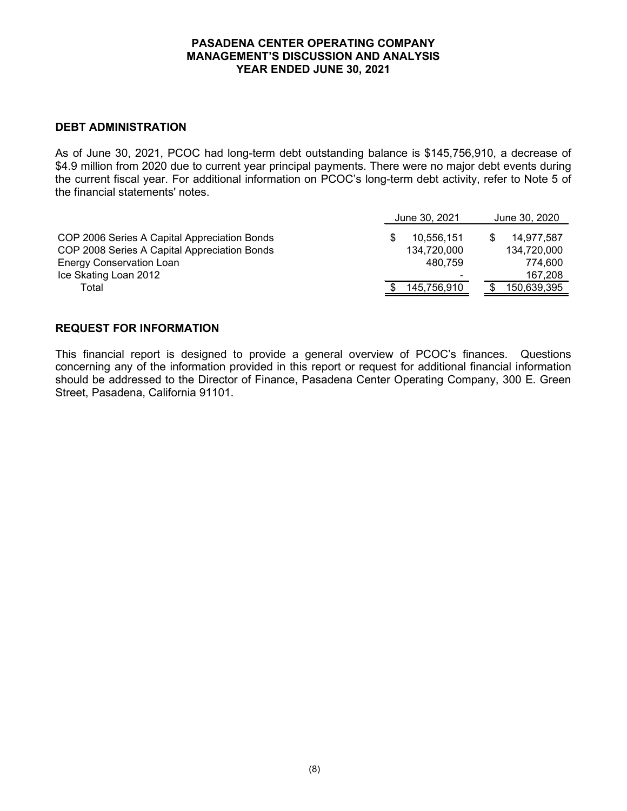#### **DEBT ADMINISTRATION**

As of June 30, 2021, PCOC had long-term debt outstanding balance is \$145,756,910, a decrease of \$4.9 million from 2020 due to current year principal payments. There were no major debt events during the current fiscal year. For additional information on PCOC's long-term debt activity, refer to Note 5 of the financial statements' notes.

| June 30, 2021 | June 30, 2020 |
|---------------|---------------|
| 10.556.151    | 14.977.587    |
| 134,720,000   | 134,720,000   |
| 480.759       | 774.600       |
|               | 167,208       |
| 145,756,910   | 150,639,395   |
|               |               |

### **REQUEST FOR INFORMATION**

This financial report is designed to provide a general overview of PCOC's finances. Questions concerning any of the information provided in this report or request for additional financial information should be addressed to the Director of Finance, Pasadena Center Operating Company, 300 E. Green Street, Pasadena, California 91101.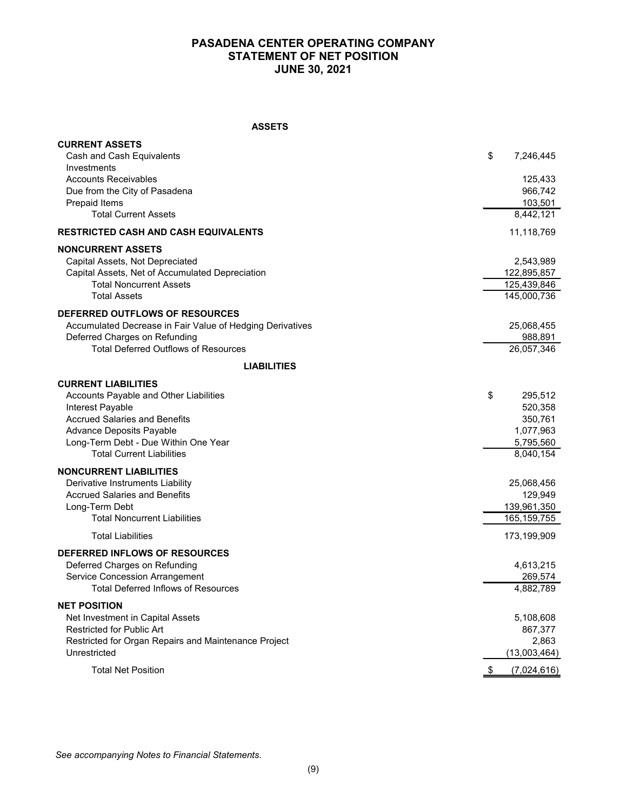### **PASADENA CENTER OPERATING COMPANY STATEMENT OF NET POSITION JUNE 30, 2021**

#### **ASSETS**

| <b>CURRENT ASSETS</b><br>Cash and Cash Equivalents        | \$<br>7,246,445   |
|-----------------------------------------------------------|-------------------|
| Investments<br><b>Accounts Receivables</b>                | 125,433           |
| Due from the City of Pasadena                             | 966,742           |
| Prepaid Items                                             | 103,501           |
| <b>Total Current Assets</b>                               | 8,442,121         |
| RESTRICTED CASH AND CASH EQUIVALENTS                      | 11,118,769        |
| <b>NONCURRENT ASSETS</b>                                  |                   |
| Capital Assets, Not Depreciated                           | 2,543,989         |
| Capital Assets, Net of Accumulated Depreciation           | 122,895,857       |
| <b>Total Noncurrent Assets</b>                            | 125,439,846       |
| <b>Total Assets</b>                                       | 145,000,736       |
| DEFERRED OUTFLOWS OF RESOURCES                            |                   |
| Accumulated Decrease in Fair Value of Hedging Derivatives | 25,068,455        |
| Deferred Charges on Refunding                             | 988,891           |
| <b>Total Deferred Outflows of Resources</b>               | 26,057,346        |
| <b>LIABILITIES</b>                                        |                   |
| <b>CURRENT LIABILITIES</b>                                |                   |
| Accounts Payable and Other Liabilities                    | \$<br>295,512     |
| Interest Payable                                          | 520,358           |
| <b>Accrued Salaries and Benefits</b>                      | 350,761           |
| Advance Deposits Payable                                  | 1,077,963         |
| Long-Term Debt - Due Within One Year                      | 5,795,560         |
| <b>Total Current Liabilities</b>                          | 8,040,154         |
| <b>NONCURRENT LIABILITIES</b>                             |                   |
| Derivative Instruments Liability                          | 25,068,456        |
| <b>Accrued Salaries and Benefits</b>                      | 129,949           |
| Long-Term Debt                                            | 139,961,350       |
| <b>Total Noncurrent Liabilities</b>                       | 165, 159, 755     |
| <b>Total Liabilities</b>                                  | 173,199,909       |
| DEFERRED INFLOWS OF RESOURCES                             |                   |
| Deferred Charges on Refunding                             | 4,613,215         |
| <b>Service Concession Arrangement</b>                     | 269,574           |
| <b>Total Deferred Inflows of Resources</b>                | 4,882,789         |
| <b>NET POSITION</b>                                       |                   |
| Net Investment in Capital Assets                          | 5,108,608         |
| Restricted for Public Art                                 | 867,377           |
| Restricted for Organ Repairs and Maintenance Project      | 2,863             |
| Unrestricted                                              | (13,003,464)      |
| <b>Total Net Position</b>                                 | \$<br>(7,024,616) |

*See accompanying Notes to Financial Statements.*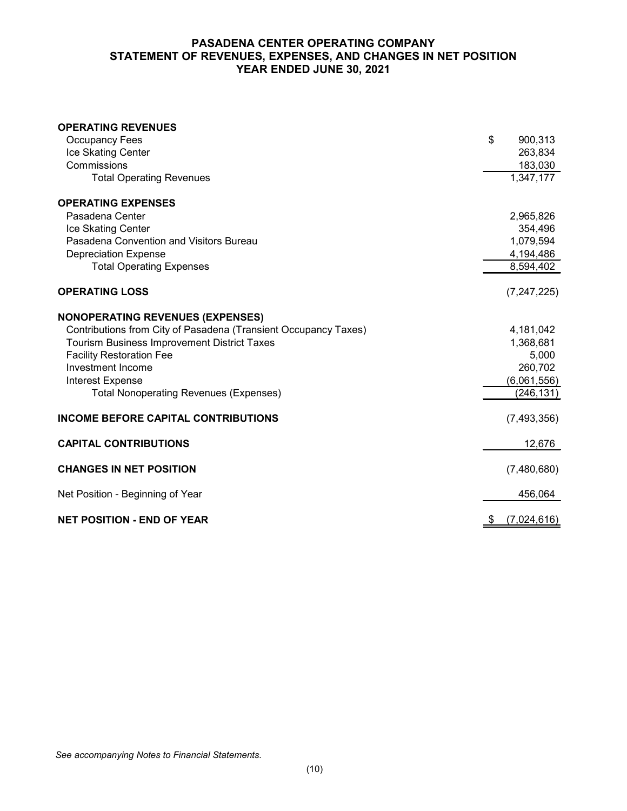# **PASADENA CENTER OPERATING COMPANY STATEMENT OF REVENUES, EXPENSES, AND CHANGES IN NET POSITION YEAR ENDED JUNE 30, 2021**

| <b>OPERATING REVENUES</b>                                       |               |               |
|-----------------------------------------------------------------|---------------|---------------|
| <b>Occupancy Fees</b>                                           | \$            | 900,313       |
| Ice Skating Center                                              |               | 263,834       |
| Commissions                                                     |               | 183,030       |
| <b>Total Operating Revenues</b>                                 |               | 1,347,177     |
| <b>OPERATING EXPENSES</b>                                       |               |               |
| Pasadena Center                                                 |               | 2,965,826     |
| Ice Skating Center                                              |               | 354,496       |
| Pasadena Convention and Visitors Bureau                         |               | 1,079,594     |
| <b>Depreciation Expense</b>                                     |               | 4,194,486     |
| <b>Total Operating Expenses</b>                                 |               | 8,594,402     |
| <b>OPERATING LOSS</b>                                           |               | (7, 247, 225) |
| <b>NONOPERATING REVENUES (EXPENSES)</b>                         |               |               |
| Contributions from City of Pasadena (Transient Occupancy Taxes) |               | 4,181,042     |
| <b>Tourism Business Improvement District Taxes</b>              |               | 1,368,681     |
| <b>Facility Restoration Fee</b>                                 |               | 5,000         |
| Investment Income                                               |               | 260,702       |
| <b>Interest Expense</b>                                         |               | (6,061,556)   |
| <b>Total Nonoperating Revenues (Expenses)</b>                   |               | (246, 131)    |
| <b>INCOME BEFORE CAPITAL CONTRIBUTIONS</b>                      |               | (7,493,356)   |
| <b>CAPITAL CONTRIBUTIONS</b>                                    |               | 12,676        |
| <b>CHANGES IN NET POSITION</b>                                  |               | (7,480,680)   |
| Net Position - Beginning of Year                                |               | 456,064       |
| <b>NET POSITION - END OF YEAR</b>                               | $\frac{1}{2}$ | (7,024,616)   |

*See accompanying Notes to Financial Statements.*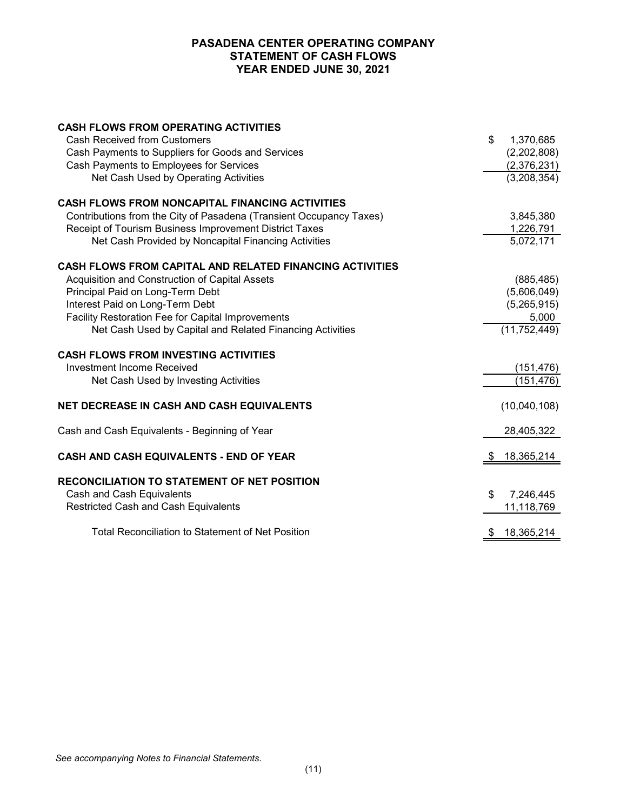### **PASADENA CENTER OPERATING COMPANY STATEMENT OF CASH FLOWS YEAR ENDED JUNE 30, 2021**

| <b>CASH FLOWS FROM OPERATING ACTIVITIES</b>                         |                  |
|---------------------------------------------------------------------|------------------|
| <b>Cash Received from Customers</b>                                 | \$<br>1,370,685  |
| Cash Payments to Suppliers for Goods and Services                   | (2,202,808)      |
| Cash Payments to Employees for Services                             | (2,376,231)      |
| Net Cash Used by Operating Activities                               | (3,208,354)      |
| <b>CASH FLOWS FROM NONCAPITAL FINANCING ACTIVITIES</b>              |                  |
| Contributions from the City of Pasadena (Transient Occupancy Taxes) | 3,845,380        |
| Receipt of Tourism Business Improvement District Taxes              | 1,226,791        |
| Net Cash Provided by Noncapital Financing Activities                | 5,072,171        |
| <b>CASH FLOWS FROM CAPITAL AND RELATED FINANCING ACTIVITIES</b>     |                  |
| Acquisition and Construction of Capital Assets                      | (885, 485)       |
| Principal Paid on Long-Term Debt                                    | (5,606,049)      |
| Interest Paid on Long-Term Debt                                     | (5,265,915)      |
| Facility Restoration Fee for Capital Improvements                   | 5,000            |
| Net Cash Used by Capital and Related Financing Activities           | (11, 752, 449)   |
| <b>CASH FLOWS FROM INVESTING ACTIVITIES</b>                         |                  |
| Investment Income Received                                          | (151, 476)       |
| Net Cash Used by Investing Activities                               | (151, 476)       |
| NET DECREASE IN CASH AND CASH EQUIVALENTS                           | (10,040,108)     |
| Cash and Cash Equivalents - Beginning of Year                       | 28,405,322       |
| CASH AND CASH EQUIVALENTS - END OF YEAR                             | 18,365,214       |
| <b>RECONCILIATION TO STATEMENT OF NET POSITION</b>                  |                  |
| Cash and Cash Equivalents                                           | \$<br>7,246,445  |
| <b>Restricted Cash and Cash Equivalents</b>                         | 11,118,769       |
| Total Reconciliation to Statement of Net Position                   | 18,365,214<br>S. |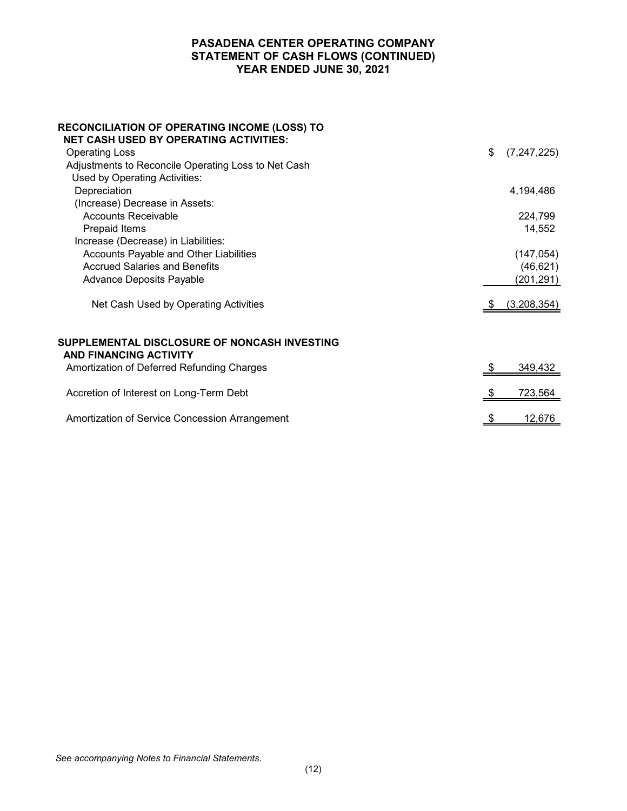### **PASADENA CENTER OPERATING COMPANY STATEMENT OF CASH FLOWS (CONTINUED) YEAR ENDED JUNE 30, 2021**

#### **RECONCILIATION OF OPERATING INCOME (LOSS) TO NET CASH USED BY OPERATING ACTIVITIES:**

| <b>Operating Loss</b>                                                  | \$<br>(7, 247, 225) |
|------------------------------------------------------------------------|---------------------|
| Adjustments to Reconcile Operating Loss to Net Cash                    |                     |
| Used by Operating Activities:                                          |                     |
| Depreciation                                                           | 4,194,486           |
| (Increase) Decrease in Assets:                                         |                     |
| Accounts Receivable                                                    | 224,799             |
| Prepaid Items                                                          | 14,552              |
| Increase (Decrease) in Liabilities:                                    |                     |
| Accounts Payable and Other Liabilities                                 | (147, 054)          |
| <b>Accrued Salaries and Benefits</b>                                   | (46, 621)           |
| <b>Advance Deposits Payable</b>                                        | (201, 291)          |
| Net Cash Used by Operating Activities                                  | (3,208,354)         |
| SUPPLEMENTAL DISCLOSURE OF NONCASH INVESTING<br>AND FINANCING ACTIVITY |                     |
| Amortization of Deferred Refunding Charges                             | 349,432             |
| Accretion of Interest on Long-Term Debt                                | 723,564             |
| Amortization of Service Concession Arrangement                         | \$<br>12,676        |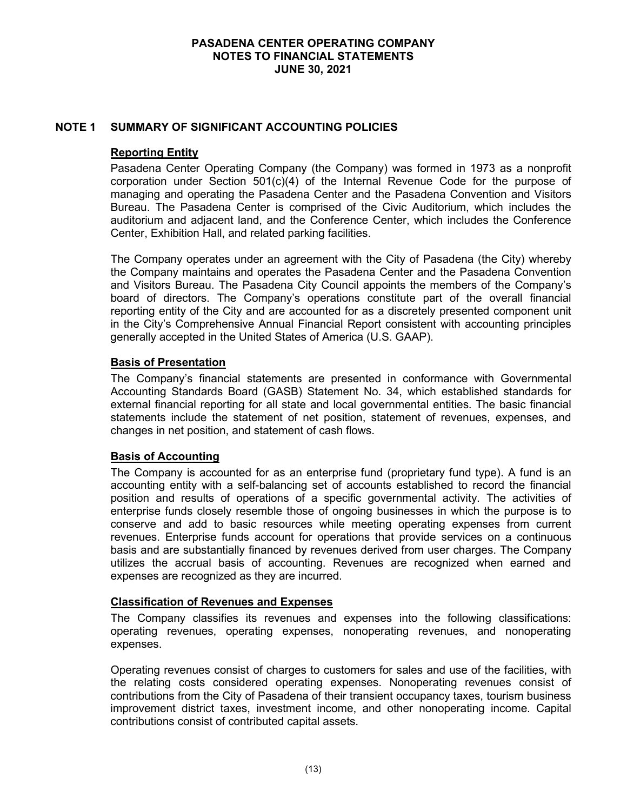### **NOTE 1 SUMMARY OF SIGNIFICANT ACCOUNTING POLICIES**

#### **Reporting Entity**

Pasadena Center Operating Company (the Company) was formed in 1973 as a nonprofit corporation under Section 501(c)(4) of the Internal Revenue Code for the purpose of managing and operating the Pasadena Center and the Pasadena Convention and Visitors Bureau. The Pasadena Center is comprised of the Civic Auditorium, which includes the auditorium and adjacent land, and the Conference Center, which includes the Conference Center, Exhibition Hall, and related parking facilities.

The Company operates under an agreement with the City of Pasadena (the City) whereby the Company maintains and operates the Pasadena Center and the Pasadena Convention and Visitors Bureau. The Pasadena City Council appoints the members of the Company's board of directors. The Company's operations constitute part of the overall financial reporting entity of the City and are accounted for as a discretely presented component unit in the City's Comprehensive Annual Financial Report consistent with accounting principles generally accepted in the United States of America (U.S. GAAP).

### **Basis of Presentation**

The Company's financial statements are presented in conformance with Governmental Accounting Standards Board (GASB) Statement No. 34, which established standards for external financial reporting for all state and local governmental entities. The basic financial statements include the statement of net position, statement of revenues, expenses, and changes in net position, and statement of cash flows.

### **Basis of Accounting**

The Company is accounted for as an enterprise fund (proprietary fund type). A fund is an accounting entity with a self-balancing set of accounts established to record the financial position and results of operations of a specific governmental activity. The activities of enterprise funds closely resemble those of ongoing businesses in which the purpose is to conserve and add to basic resources while meeting operating expenses from current revenues. Enterprise funds account for operations that provide services on a continuous basis and are substantially financed by revenues derived from user charges. The Company utilizes the accrual basis of accounting. Revenues are recognized when earned and expenses are recognized as they are incurred.

#### **Classification of Revenues and Expenses**

The Company classifies its revenues and expenses into the following classifications: operating revenues, operating expenses, nonoperating revenues, and nonoperating expenses.

Operating revenues consist of charges to customers for sales and use of the facilities, with the relating costs considered operating expenses. Nonoperating revenues consist of contributions from the City of Pasadena of their transient occupancy taxes, tourism business improvement district taxes, investment income, and other nonoperating income. Capital contributions consist of contributed capital assets.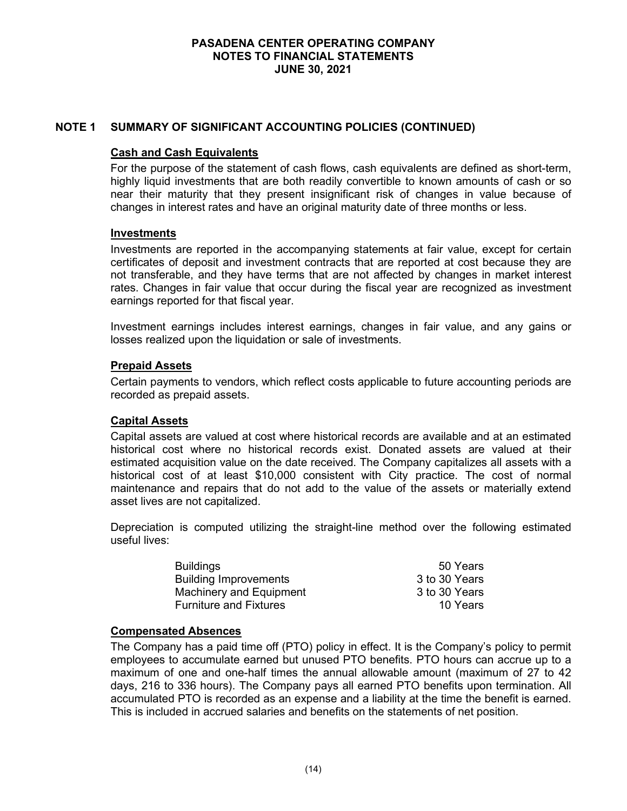### **NOTE 1 SUMMARY OF SIGNIFICANT ACCOUNTING POLICIES (CONTINUED)**

#### **Cash and Cash Equivalents**

For the purpose of the statement of cash flows, cash equivalents are defined as short-term, highly liquid investments that are both readily convertible to known amounts of cash or so near their maturity that they present insignificant risk of changes in value because of changes in interest rates and have an original maturity date of three months or less.

#### **Investments**

Investments are reported in the accompanying statements at fair value, except for certain certificates of deposit and investment contracts that are reported at cost because they are not transferable, and they have terms that are not affected by changes in market interest rates. Changes in fair value that occur during the fiscal year are recognized as investment earnings reported for that fiscal year.

Investment earnings includes interest earnings, changes in fair value, and any gains or losses realized upon the liquidation or sale of investments.

### **Prepaid Assets**

Certain payments to vendors, which reflect costs applicable to future accounting periods are recorded as prepaid assets.

### **Capital Assets**

Capital assets are valued at cost where historical records are available and at an estimated historical cost where no historical records exist. Donated assets are valued at their estimated acquisition value on the date received. The Company capitalizes all assets with a historical cost of at least \$10,000 consistent with City practice. The cost of normal maintenance and repairs that do not add to the value of the assets or materially extend asset lives are not capitalized.

Depreciation is computed utilizing the straight-line method over the following estimated useful lives:

| <b>Buildings</b>              | 50 Years      |
|-------------------------------|---------------|
| <b>Building Improvements</b>  | 3 to 30 Years |
| Machinery and Equipment       | 3 to 30 Years |
| <b>Furniture and Fixtures</b> | 10 Years      |

### **Compensated Absences**

The Company has a paid time off (PTO) policy in effect. It is the Company's policy to permit employees to accumulate earned but unused PTO benefits. PTO hours can accrue up to a maximum of one and one-half times the annual allowable amount (maximum of 27 to 42 days, 216 to 336 hours). The Company pays all earned PTO benefits upon termination. All accumulated PTO is recorded as an expense and a liability at the time the benefit is earned. This is included in accrued salaries and benefits on the statements of net position.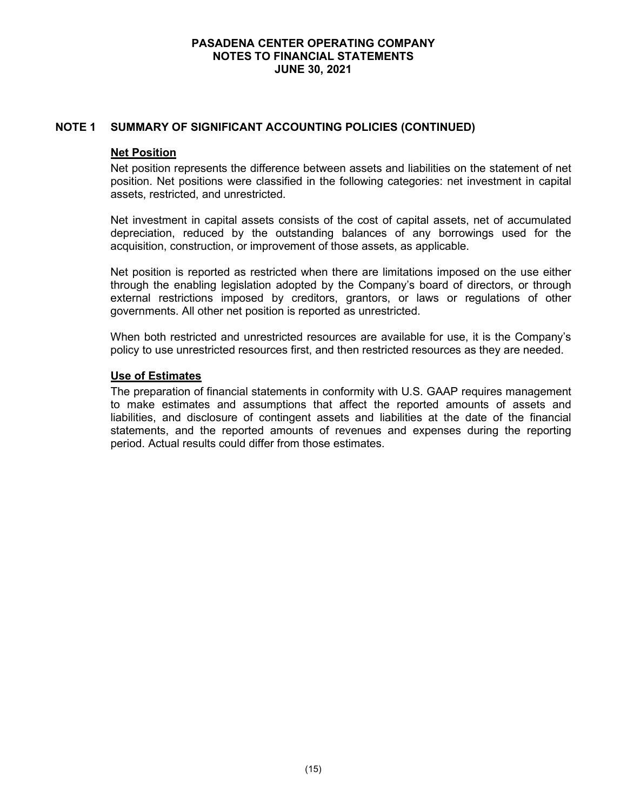### **NOTE 1 SUMMARY OF SIGNIFICANT ACCOUNTING POLICIES (CONTINUED)**

#### **Net Position**

Net position represents the difference between assets and liabilities on the statement of net position. Net positions were classified in the following categories: net investment in capital assets, restricted, and unrestricted.

Net investment in capital assets consists of the cost of capital assets, net of accumulated depreciation, reduced by the outstanding balances of any borrowings used for the acquisition, construction, or improvement of those assets, as applicable.

Net position is reported as restricted when there are limitations imposed on the use either through the enabling legislation adopted by the Company's board of directors, or through external restrictions imposed by creditors, grantors, or laws or regulations of other governments. All other net position is reported as unrestricted.

When both restricted and unrestricted resources are available for use, it is the Company's policy to use unrestricted resources first, and then restricted resources as they are needed.

#### **Use of Estimates**

The preparation of financial statements in conformity with U.S. GAAP requires management to make estimates and assumptions that affect the reported amounts of assets and liabilities, and disclosure of contingent assets and liabilities at the date of the financial statements, and the reported amounts of revenues and expenses during the reporting period. Actual results could differ from those estimates.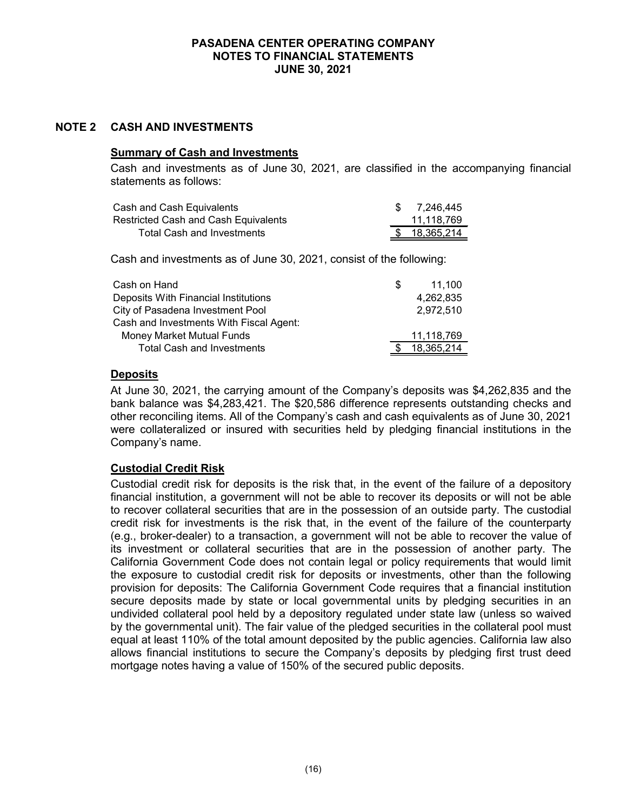#### **NOTE 2 CASH AND INVESTMENTS**

#### **Summary of Cash and Investments**

Cash and investments as of June 30, 2021, are classified in the accompanying financial statements as follows:

| Cash and Cash Equivalents            | \$ 7.246.445  |
|--------------------------------------|---------------|
| Restricted Cash and Cash Equivalents | 11.118.769    |
| <b>Total Cash and Investments</b>    | \$ 18,365,214 |

Cash and investments as of June 30, 2021, consist of the following:

| Cash on Hand                            | S. | 11.100     |
|-----------------------------------------|----|------------|
| Deposits With Financial Institutions    |    | 4,262,835  |
| City of Pasadena Investment Pool        |    | 2,972,510  |
| Cash and Investments With Fiscal Agent: |    |            |
| Money Market Mutual Funds               |    | 11,118,769 |
| <b>Total Cash and Investments</b>       |    | 18,365,214 |

### **Deposits**

At June 30, 2021, the carrying amount of the Company's deposits was \$4,262,835 and the bank balance was \$4,283,421. The \$20,586 difference represents outstanding checks and other reconciling items. All of the Company's cash and cash equivalents as of June 30, 2021 were collateralized or insured with securities held by pledging financial institutions in the Company's name.

### **Custodial Credit Risk**

Custodial credit risk for deposits is the risk that, in the event of the failure of a depository financial institution, a government will not be able to recover its deposits or will not be able to recover collateral securities that are in the possession of an outside party. The custodial credit risk for investments is the risk that, in the event of the failure of the counterparty (e.g., broker-dealer) to a transaction, a government will not be able to recover the value of its investment or collateral securities that are in the possession of another party. The California Government Code does not contain legal or policy requirements that would limit the exposure to custodial credit risk for deposits or investments, other than the following provision for deposits: The California Government Code requires that a financial institution secure deposits made by state or local governmental units by pledging securities in an undivided collateral pool held by a depository regulated under state law (unless so waived by the governmental unit). The fair value of the pledged securities in the collateral pool must equal at least 110% of the total amount deposited by the public agencies. California law also allows financial institutions to secure the Company's deposits by pledging first trust deed mortgage notes having a value of 150% of the secured public deposits.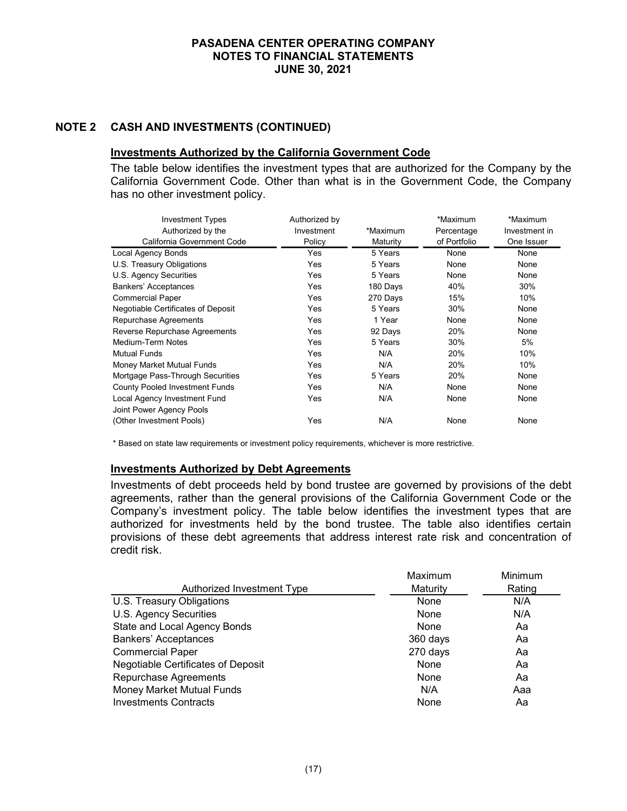### **NOTE 2 CASH AND INVESTMENTS (CONTINUED)**

### **Investments Authorized by the California Government Code**

The table below identifies the investment types that are authorized for the Company by the California Government Code. Other than what is in the Government Code, the Company has no other investment policy.

| <b>Investment Types</b><br>Authorized by the<br>California Government Code | Authorized by<br>Investment<br>Policy | *Maximum<br>Maturity | *Maximum<br>Percentage<br>of Portfolio | *Maximum<br>Investment in<br>One Issuer |
|----------------------------------------------------------------------------|---------------------------------------|----------------------|----------------------------------------|-----------------------------------------|
| Local Agency Bonds                                                         | Yes                                   | 5 Years              | None                                   | None                                    |
| U.S. Treasury Obligations                                                  | Yes                                   | 5 Years              | None                                   | None                                    |
| U.S. Agency Securities                                                     | <b>Yes</b>                            | 5 Years              | None                                   | None                                    |
| Bankers' Acceptances                                                       | <b>Yes</b>                            | 180 Days             | 40%                                    | 30%                                     |
| <b>Commercial Paper</b>                                                    | Yes                                   | 270 Days             | 15%                                    | 10%                                     |
| Negotiable Certificates of Deposit                                         | <b>Yes</b>                            | 5 Years              | 30%                                    | None                                    |
| Repurchase Agreements                                                      | Yes                                   | 1 Year               | None                                   | None                                    |
| Reverse Repurchase Agreements                                              | Yes                                   | 92 Days              | 20%                                    | None                                    |
| Medium-Term Notes                                                          | <b>Yes</b>                            | 5 Years              | 30%                                    | 5%                                      |
| <b>Mutual Funds</b>                                                        | <b>Yes</b>                            | N/A                  | 20%                                    | 10%                                     |
| Money Market Mutual Funds                                                  | <b>Yes</b>                            | N/A                  | 20%                                    | 10%                                     |
| Mortgage Pass-Through Securities                                           | <b>Yes</b>                            | 5 Years              | 20%                                    | None                                    |
| <b>County Pooled Investment Funds</b>                                      | <b>Yes</b>                            | N/A                  | None                                   | None                                    |
| Local Agency Investment Fund<br>Joint Power Agency Pools                   | <b>Yes</b>                            | N/A                  | None                                   | None                                    |
| (Other Investment Pools)                                                   | Yes                                   | N/A                  | None                                   | None                                    |

\* Based on state law requirements or investment policy requirements, whichever is more restrictive.

#### **Investments Authorized by Debt Agreements**

Investments of debt proceeds held by bond trustee are governed by provisions of the debt agreements, rather than the general provisions of the California Government Code or the Company's investment policy. The table below identifies the investment types that are authorized for investments held by the bond trustee. The table also identifies certain provisions of these debt agreements that address interest rate risk and concentration of credit risk.

Maximum Minimum Minimum

|          | Minimum        |
|----------|----------------|
| Maturity | Rating         |
| None     | N/A            |
| None     | N/A            |
| None     | Aa             |
| 360 days | Aa             |
| 270 days | Aa             |
| None     | Aa             |
| None     | Aa             |
| N/A      | Aaa            |
| None     | Aa             |
|          | <u>Maximum</u> |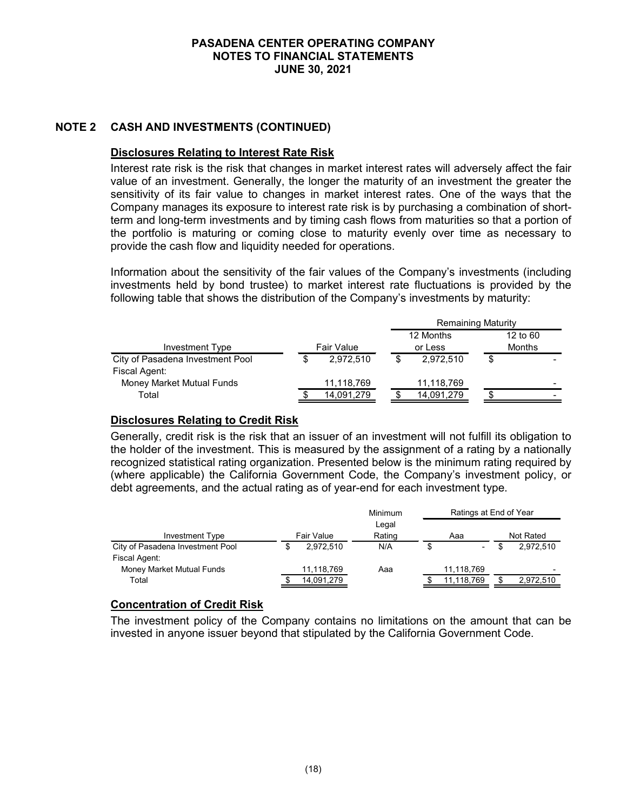### **NOTE 2 CASH AND INVESTMENTS (CONTINUED)**

### **Disclosures Relating to Interest Rate Risk**

Interest rate risk is the risk that changes in market interest rates will adversely affect the fair value of an investment. Generally, the longer the maturity of an investment the greater the sensitivity of its fair value to changes in market interest rates. One of the ways that the Company manages its exposure to interest rate risk is by purchasing a combination of shortterm and long-term investments and by timing cash flows from maturities so that a portion of the portfolio is maturing or coming close to maturity evenly over time as necessary to provide the cash flow and liquidity needed for operations.

Information about the sensitivity of the fair values of the Company's investments (including investments held by bond trustee) to market interest rate fluctuations is provided by the following table that shows the distribution of the Company's investments by maturity:

|                                  |                   |            |    | <b>Remaining Maturity</b> |        |          |  |  |  |
|----------------------------------|-------------------|------------|----|---------------------------|--------|----------|--|--|--|
|                                  |                   |            |    | 12 Months                 |        | 12 to 60 |  |  |  |
| Investment Type                  | <b>Fair Value</b> |            |    | or Less                   | Months |          |  |  |  |
| City of Pasadena Investment Pool |                   | 2.972.510  | £. | 2.972.510                 |        |          |  |  |  |
| Fiscal Agent:                    |                   |            |    |                           |        |          |  |  |  |
| Money Market Mutual Funds        |                   | 11,118,769 |    | 11,118,769                |        |          |  |  |  |
| Total                            |                   | 14,091,279 |    | 14,091,279                |        |          |  |  |  |

### **Disclosures Relating to Credit Risk**

Generally, credit risk is the risk that an issuer of an investment will not fulfill its obligation to the holder of the investment. This is measured by the assignment of a rating by a nationally recognized statistical rating organization. Presented below is the minimum rating required by (where applicable) the California Government Code, the Company's investment policy, or debt agreements, and the actual rating as of year-end for each investment type.

|                                  |            | Minimum |            | Ratings at End of Year |           |  |
|----------------------------------|------------|---------|------------|------------------------|-----------|--|
|                                  |            | Legal   |            |                        |           |  |
| <b>Investment Type</b>           | Fair Value | Rating  | Aaa        |                        | Not Rated |  |
| City of Pasadena Investment Pool | 2.972.510  | N/A     | $\sim$     |                        | 2.972.510 |  |
| Fiscal Agent:                    |            |         |            |                        |           |  |
| Money Market Mutual Funds        | 11,118,769 | Aaa     | 11,118,769 |                        |           |  |
| Total                            | 14,091,279 |         | 11,118,769 |                        | 2,972,510 |  |

### **Concentration of Credit Risk**

The investment policy of the Company contains no limitations on the amount that can be invested in anyone issuer beyond that stipulated by the California Government Code.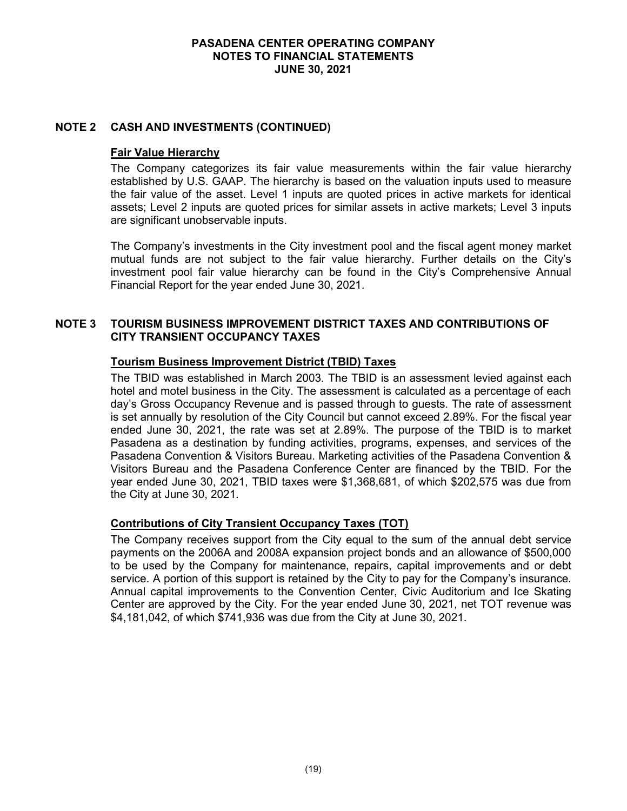### **NOTE 2 CASH AND INVESTMENTS (CONTINUED)**

#### **Fair Value Hierarchy**

The Company categorizes its fair value measurements within the fair value hierarchy established by U.S. GAAP. The hierarchy is based on the valuation inputs used to measure the fair value of the asset. Level 1 inputs are quoted prices in active markets for identical assets; Level 2 inputs are quoted prices for similar assets in active markets; Level 3 inputs are significant unobservable inputs.

The Company's investments in the City investment pool and the fiscal agent money market mutual funds are not subject to the fair value hierarchy. Further details on the City's investment pool fair value hierarchy can be found in the City's Comprehensive Annual Financial Report for the year ended June 30, 2021.

### **NOTE 3 TOURISM BUSINESS IMPROVEMENT DISTRICT TAXES AND CONTRIBUTIONS OF CITY TRANSIENT OCCUPANCY TAXES**

### **Tourism Business Improvement District (TBID) Taxes**

The TBID was established in March 2003. The TBID is an assessment levied against each hotel and motel business in the City. The assessment is calculated as a percentage of each day's Gross Occupancy Revenue and is passed through to guests. The rate of assessment is set annually by resolution of the City Council but cannot exceed 2.89%. For the fiscal year ended June 30, 2021, the rate was set at 2.89%. The purpose of the TBID is to market Pasadena as a destination by funding activities, programs, expenses, and services of the Pasadena Convention & Visitors Bureau. Marketing activities of the Pasadena Convention & Visitors Bureau and the Pasadena Conference Center are financed by the TBID. For the year ended June 30, 2021, TBID taxes were \$1,368,681, of which \$202,575 was due from the City at June 30, 2021.

### **Contributions of City Transient Occupancy Taxes (TOT)**

The Company receives support from the City equal to the sum of the annual debt service payments on the 2006A and 2008A expansion project bonds and an allowance of \$500,000 to be used by the Company for maintenance, repairs, capital improvements and or debt service. A portion of this support is retained by the City to pay for the Company's insurance. Annual capital improvements to the Convention Center, Civic Auditorium and Ice Skating Center are approved by the City. For the year ended June 30, 2021, net TOT revenue was \$4,181,042, of which \$741,936 was due from the City at June 30, 2021.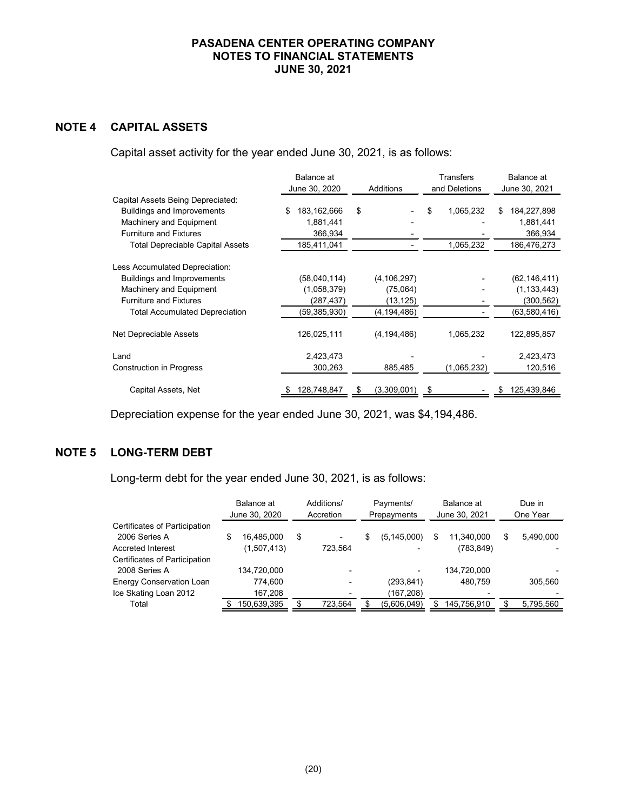# **NOTE 4 CAPITAL ASSETS**

Capital asset activity for the year ended June 30, 2021, is as follows:

|                                         | Balance at        |               | <b>Transfers</b> | Balance at        |  |
|-----------------------------------------|-------------------|---------------|------------------|-------------------|--|
|                                         | June 30, 2020     | Additions     | and Deletions    | June 30, 2021     |  |
| Capital Assets Being Depreciated:       |                   |               |                  |                   |  |
| <b>Buildings and Improvements</b>       | 183,162,666<br>\$ | \$            | 1,065,232<br>\$  | \$<br>184,227,898 |  |
| Machinery and Equipment                 | 1,881,441         |               |                  | 1,881,441         |  |
| <b>Furniture and Fixtures</b>           | 366,934           |               |                  | 366,934           |  |
| <b>Total Depreciable Capital Assets</b> | 185,411,041       |               | 1,065,232        | 186,476,273       |  |
| Less Accumulated Depreciation:          |                   |               |                  |                   |  |
| <b>Buildings and Improvements</b>       | (58,040,114)      | (4, 106, 297) |                  | (62, 146, 411)    |  |
| Machinery and Equipment                 | (1,058,379)       | (75,064)      |                  | (1, 133, 443)     |  |
| <b>Furniture and Fixtures</b>           | (287,437)         | (13, 125)     |                  | (300,562)         |  |
| <b>Total Accumulated Depreciation</b>   | (59,385,930)      | (4, 194, 486) |                  | (63,580,416)      |  |
| Net Depreciable Assets                  | 126,025,111       | (4, 194, 486) | 1,065,232        | 122,895,857       |  |
| Land                                    | 2,423,473         |               |                  | 2,423,473         |  |
| <b>Construction in Progress</b>         | 300,263           | 885,485       | (1,065,232)      | 120,516           |  |
| Capital Assets, Net                     | 128,748,847       | (3,309,001)   | S                | 125,439,846       |  |

Depreciation expense for the year ended June 30, 2021, was \$4,194,486.

# **NOTE 5 LONG-TERM DEBT**

Long-term debt for the year ended June 30, 2021, is as follows:

|                                                |   | Balance at<br>June 30, 2020 | Additions/<br>Accretion  | Payments/<br>Prepayments |   | Balance at<br>June 30, 2021 | Due in<br>One Year |
|------------------------------------------------|---|-----------------------------|--------------------------|--------------------------|---|-----------------------------|--------------------|
| Certificates of Participation<br>2006 Series A | S | 16.485.000                  | \$                       | \$<br>(5,145,000)        | S | 11.340.000                  | 5.490.000          |
| Accreted Interest                              |   | (1,507,413)                 | 723.564                  |                          |   | (783, 849)                  |                    |
| Certificates of Participation                  |   |                             |                          |                          |   |                             |                    |
| 2008 Series A                                  |   | 134,720,000                 | $\overline{\phantom{0}}$ |                          |   | 134.720.000                 |                    |
| <b>Energy Conservation Loan</b>                |   | 774.600                     |                          | (293,841)                |   | 480.759                     | 305.560            |
| Ice Skating Loan 2012                          |   | 167,208                     |                          | (167,208)                |   |                             |                    |
| Total                                          |   | 150,639,395                 | 723,564                  | (5,606,049)              |   | 145,756,910                 | 5,795,560          |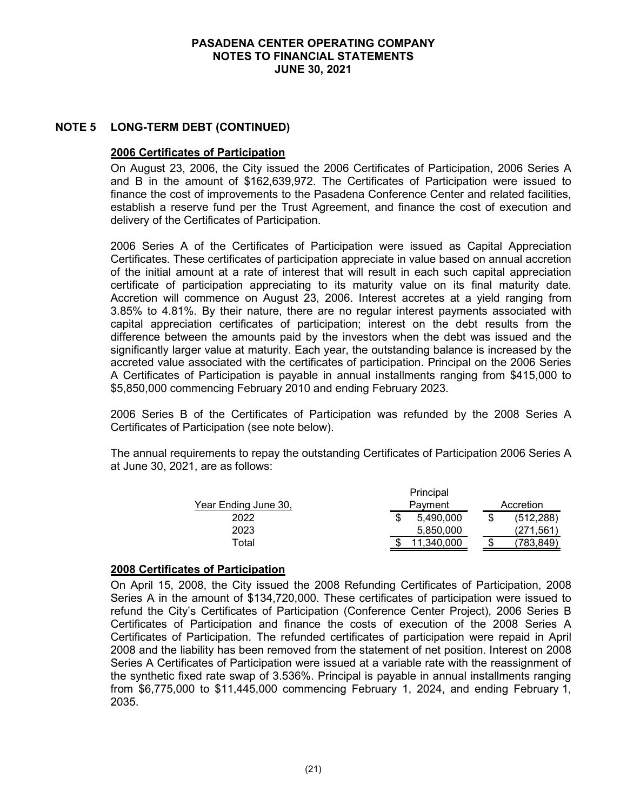### **NOTE 5 LONG-TERM DEBT (CONTINUED)**

#### **2006 Certificates of Participation**

On August 23, 2006, the City issued the 2006 Certificates of Participation, 2006 Series A and B in the amount of \$162,639,972. The Certificates of Participation were issued to finance the cost of improvements to the Pasadena Conference Center and related facilities, establish a reserve fund per the Trust Agreement, and finance the cost of execution and delivery of the Certificates of Participation.

2006 Series A of the Certificates of Participation were issued as Capital Appreciation Certificates. These certificates of participation appreciate in value based on annual accretion of the initial amount at a rate of interest that will result in each such capital appreciation certificate of participation appreciating to its maturity value on its final maturity date. Accretion will commence on August 23, 2006. Interest accretes at a yield ranging from 3.85% to 4.81%. By their nature, there are no regular interest payments associated with capital appreciation certificates of participation; interest on the debt results from the difference between the amounts paid by the investors when the debt was issued and the significantly larger value at maturity. Each year, the outstanding balance is increased by the accreted value associated with the certificates of participation. Principal on the 2006 Series A Certificates of Participation is payable in annual installments ranging from \$415,000 to \$5,850,000 commencing February 2010 and ending February 2023.

2006 Series B of the Certificates of Participation was refunded by the 2008 Series A Certificates of Participation (see note below).

The annual requirements to repay the outstanding Certificates of Participation 2006 Series A at June 30, 2021, are as follows:

|                      | Principal |   |            |
|----------------------|-----------|---|------------|
| Year Ending June 30, | Payment   |   | Accretion  |
| 2022                 | 5.490.000 | S | (512, 288) |
| 2023                 | 5,850,000 |   | (271,561)  |
| Total                | .340.000  |   | 783.849    |

### **2008 Certificates of Participation**

On April 15, 2008, the City issued the 2008 Refunding Certificates of Participation, 2008 Series A in the amount of \$134,720,000. These certificates of participation were issued to refund the City's Certificates of Participation (Conference Center Project), 2006 Series B Certificates of Participation and finance the costs of execution of the 2008 Series A Certificates of Participation. The refunded certificates of participation were repaid in April 2008 and the liability has been removed from the statement of net position. Interest on 2008 Series A Certificates of Participation were issued at a variable rate with the reassignment of the synthetic fixed rate swap of 3.536%. Principal is payable in annual installments ranging from \$6,775,000 to \$11,445,000 commencing February 1, 2024, and ending February 1, 2035.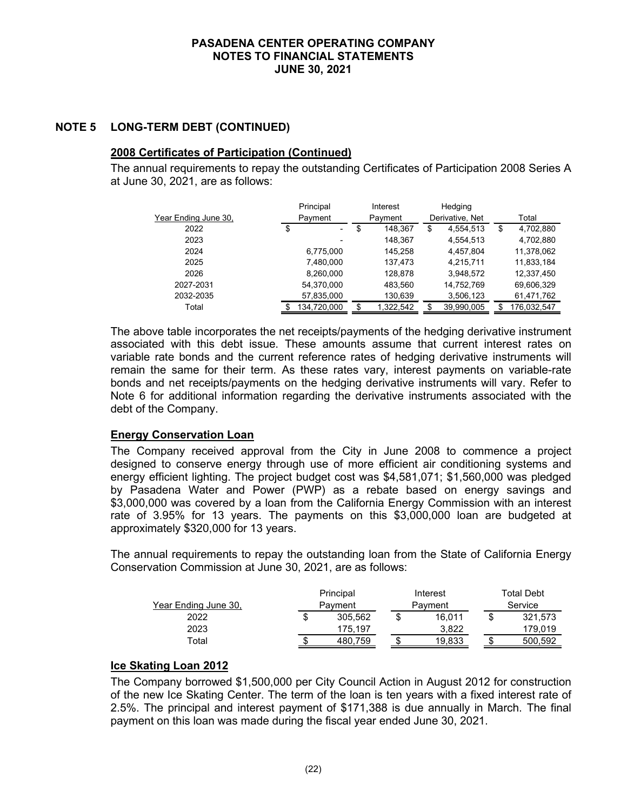### **NOTE 5 LONG-TERM DEBT (CONTINUED)**

#### **2008 Certificates of Participation (Continued)**

The annual requirements to repay the outstanding Certificates of Participation 2008 Series A at June 30, 2021, are as follows:

|                      |    | Principal   |                      | Interest  |           | Hedging         |    |             |
|----------------------|----|-------------|----------------------|-----------|-----------|-----------------|----|-------------|
| Year Ending June 30, |    | Payment     |                      | Payment   |           | Derivative, Net |    | Total       |
| 2022                 | \$ | -           | \$                   | 148.367   | \$        | 4,554,513       | \$ | 4,702,880   |
| 2023                 |    |             |                      | 148,367   |           | 4,554,513       |    | 4,702,880   |
| 2024                 |    | 6,775,000   |                      | 145.258   |           | 4,457,804       |    | 11,378,062  |
| 2025                 |    | 7,480,000   |                      | 137,473   |           | 4,215,711       |    | 11,833,184  |
| 2026                 |    |             | 8,260,000<br>128,878 |           | 3,948,572 |                 |    | 12,337,450  |
| 2027-2031            |    | 54,370,000  |                      | 483.560   |           | 14,752,769      |    | 69,606,329  |
| 2032-2035            |    | 57,835,000  |                      | 130,639   |           | 3,506,123       |    | 61,471,762  |
| Total                |    | 134.720.000 | \$                   | 1.322.542 |           | 39,990,005      |    | 176,032,547 |

The above table incorporates the net receipts/payments of the hedging derivative instrument associated with this debt issue. These amounts assume that current interest rates on variable rate bonds and the current reference rates of hedging derivative instruments will remain the same for their term. As these rates vary, interest payments on variable-rate bonds and net receipts/payments on the hedging derivative instruments will vary. Refer to Note 6 for additional information regarding the derivative instruments associated with the debt of the Company.

### **Energy Conservation Loan**

The Company received approval from the City in June 2008 to commence a project designed to conserve energy through use of more efficient air conditioning systems and energy efficient lighting. The project budget cost was \$4,581,071; \$1,560,000 was pledged by Pasadena Water and Power (PWP) as a rebate based on energy savings and \$3,000,000 was covered by a loan from the California Energy Commission with an interest rate of 3.95% for 13 years. The payments on this \$3,000,000 loan are budgeted at approximately \$320,000 for 13 years.

The annual requirements to repay the outstanding loan from the State of California Energy Conservation Commission at June 30, 2021, are as follows:

|                      |        | Principal |  | Interest | Total Debt |         |  |  |
|----------------------|--------|-----------|--|----------|------------|---------|--|--|
| Year Ending June 30, |        | Pavment   |  | Payment  |            | Service |  |  |
| 2022                 | Φ<br>J | 305.562   |  | 16.011   | ۰D         | 321.573 |  |  |
| 2023                 |        | 175.197   |  | 3.822    |            | 179.019 |  |  |
| Total                | ۰D     | 480.759   |  | 19.833   |            | 500,592 |  |  |

### **Ice Skating Loan 2012**

The Company borrowed \$1,500,000 per City Council Action in August 2012 for construction of the new Ice Skating Center. The term of the loan is ten years with a fixed interest rate of 2.5%. The principal and interest payment of \$171,388 is due annually in March. The final payment on this loan was made during the fiscal year ended June 30, 2021.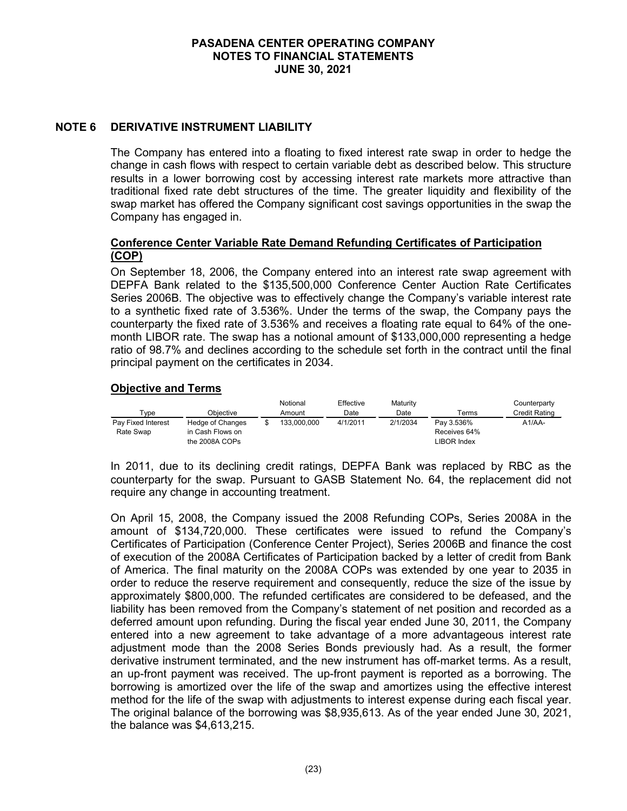### **NOTE 6 DERIVATIVE INSTRUMENT LIABILITY**

The Company has entered into a floating to fixed interest rate swap in order to hedge the change in cash flows with respect to certain variable debt as described below. This structure results in a lower borrowing cost by accessing interest rate markets more attractive than traditional fixed rate debt structures of the time. The greater liquidity and flexibility of the swap market has offered the Company significant cost savings opportunities in the swap the Company has engaged in.

#### **Conference Center Variable Rate Demand Refunding Certificates of Participation (COP)**

On September 18, 2006, the Company entered into an interest rate swap agreement with DEPFA Bank related to the \$135,500,000 Conference Center Auction Rate Certificates Series 2006B. The objective was to effectively change the Company's variable interest rate to a synthetic fixed rate of 3.536%. Under the terms of the swap, the Company pays the counterparty the fixed rate of 3.536% and receives a floating rate equal to 64% of the onemonth LIBOR rate. The swap has a notional amount of \$133,000,000 representing a hedge ratio of 98.7% and declines according to the schedule set forth in the contract until the final principal payment on the certificates in 2034.

#### **Objective and Terms**

|                     |                  | Notional    | Effective | Maturity |              | Counterparty  |
|---------------------|------------------|-------------|-----------|----------|--------------|---------------|
| $\tau_\mathsf{Vpe}$ | Obiective        | Amount      | Date      | Date     | Terms        | Credit Rating |
| Pav Fixed Interest  | Hedge of Changes | 133.000.000 | 4/1/2011  | 2/1/2034 | Pay 3.536%   | $A1/AA-$      |
| Rate Swap           | in Cash Flows on |             |           |          | Receives 64% |               |
|                     | the 2008A COPs   |             |           |          | LIBOR Index  |               |

In 2011, due to its declining credit ratings, DEPFA Bank was replaced by RBC as the counterparty for the swap. Pursuant to GASB Statement No. 64, the replacement did not require any change in accounting treatment.

On April 15, 2008, the Company issued the 2008 Refunding COPs, Series 2008A in the amount of \$134,720,000. These certificates were issued to refund the Company's Certificates of Participation (Conference Center Project), Series 2006B and finance the cost of execution of the 2008A Certificates of Participation backed by a letter of credit from Bank of America. The final maturity on the 2008A COPs was extended by one year to 2035 in order to reduce the reserve requirement and consequently, reduce the size of the issue by approximately \$800,000. The refunded certificates are considered to be defeased, and the liability has been removed from the Company's statement of net position and recorded as a deferred amount upon refunding. During the fiscal year ended June 30, 2011, the Company entered into a new agreement to take advantage of a more advantageous interest rate adjustment mode than the 2008 Series Bonds previously had. As a result, the former derivative instrument terminated, and the new instrument has off-market terms. As a result, an up-front payment was received. The up-front payment is reported as a borrowing. The borrowing is amortized over the life of the swap and amortizes using the effective interest method for the life of the swap with adjustments to interest expense during each fiscal year. The original balance of the borrowing was \$8,935,613. As of the year ended June 30, 2021, the balance was \$4,613,215.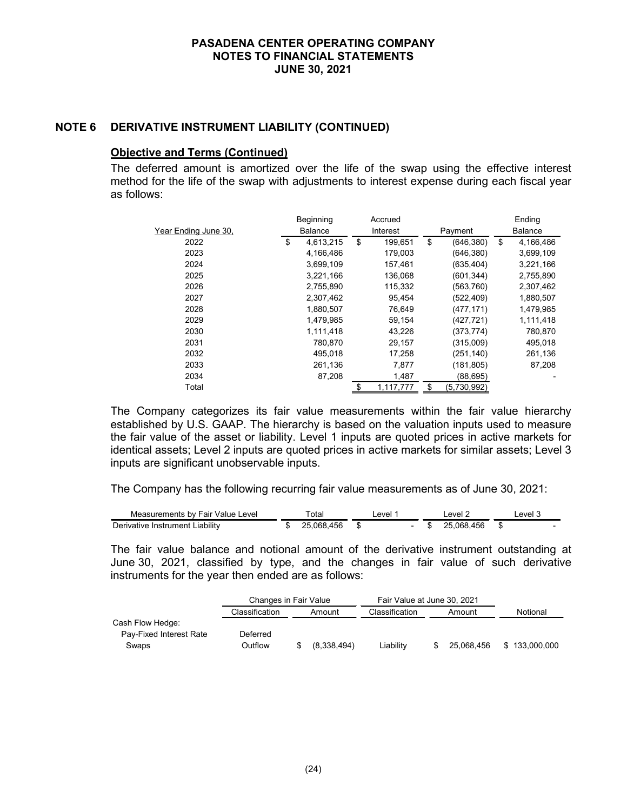#### **NOTE 6 DERIVATIVE INSTRUMENT LIABILITY (CONTINUED)**

#### **Objective and Terms (Continued)**

The deferred amount is amortized over the life of the swap using the effective interest method for the life of the swap with adjustments to interest expense during each fiscal year as follows:

|                      | Beginning       |    | Accrued   |    |             | Ending          |
|----------------------|-----------------|----|-----------|----|-------------|-----------------|
| Year Ending June 30, | <b>Balance</b>  |    | Interest  |    | Payment     | Balance         |
| 2022                 | \$<br>4,613,215 | \$ | 199,651   | \$ | (646, 380)  | \$<br>4,166,486 |
| 2023                 | 4,166,486       |    | 179,003   |    | (646, 380)  | 3,699,109       |
| 2024                 | 3,699,109       |    | 157,461   |    | (635, 404)  | 3,221,166       |
| 2025                 | 3,221,166       |    | 136,068   |    | (601,344)   | 2,755,890       |
| 2026                 | 2,755,890       |    | 115,332   |    | (563, 760)  | 2,307,462       |
| 2027                 | 2,307,462       |    | 95,454    |    | (522, 409)  | 1,880,507       |
| 2028                 | 1,880,507       |    | 76,649    |    | (477, 171)  | 1,479,985       |
| 2029                 | 1,479,985       |    | 59,154    |    | (427, 721)  | 1,111,418       |
| 2030                 | 1,111,418       |    | 43,226    |    | (373, 774)  | 780,870         |
| 2031                 | 780,870         |    | 29,157    |    | (315,009)   | 495,018         |
| 2032                 | 495,018         |    | 17,258    |    | (251, 140)  | 261,136         |
| 2033                 | 261,136         |    | 7,877     |    | (181, 805)  | 87,208          |
| 2034                 | 87,208          |    | 1,487     |    | (88, 695)   |                 |
| Total                |                 | \$ | 1,117,777 |    | (5,730,992) |                 |

The Company categorizes its fair value measurements within the fair value hierarchy established by U.S. GAAP. The hierarchy is based on the valuation inputs used to measure the fair value of the asset or liability. Level 1 inputs are quoted prices in active markets for identical assets; Level 2 inputs are quoted prices in active markets for similar assets; Level 3 inputs are significant unobservable inputs.

The Company has the following recurring fair value measurements as of June 30, 2021:

| Measurements by Fair Value Level | `otal         | evel | evel       | evel |
|----------------------------------|---------------|------|------------|------|
| Derivative Instrument Liability  | 068.456<br>つに |      | 25.068.456 |      |

The fair value balance and notional amount of the derivative instrument outstanding at June 30, 2021, classified by type, and the changes in fair value of such derivative instruments for the year then ended are as follows:

|                         | Changes in Fair Value |  |             | Fair Value at June 30, 2021 |  |            |               |
|-------------------------|-----------------------|--|-------------|-----------------------------|--|------------|---------------|
|                         | Classification        |  | Amount      | Classification              |  | Amount     | Notional      |
| Cash Flow Hedge:        |                       |  |             |                             |  |            |               |
| Pay-Fixed Interest Rate | Deferred              |  |             |                             |  |            |               |
| Swaps                   | Outflow               |  | (8,338,494) | Liability                   |  | 25.068.456 | \$133,000,000 |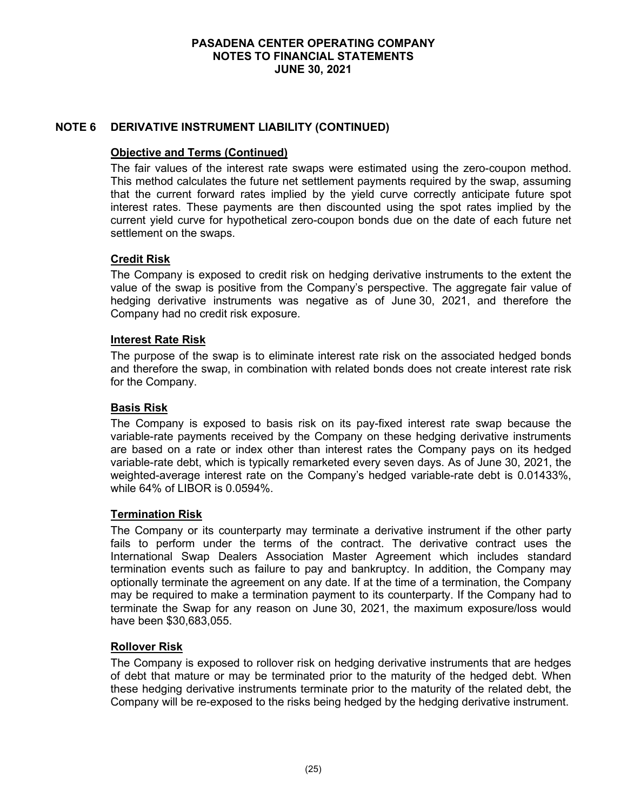### **NOTE 6 DERIVATIVE INSTRUMENT LIABILITY (CONTINUED)**

#### **Objective and Terms (Continued)**

The fair values of the interest rate swaps were estimated using the zero-coupon method. This method calculates the future net settlement payments required by the swap, assuming that the current forward rates implied by the yield curve correctly anticipate future spot interest rates. These payments are then discounted using the spot rates implied by the current yield curve for hypothetical zero-coupon bonds due on the date of each future net settlement on the swaps.

### **Credit Risk**

The Company is exposed to credit risk on hedging derivative instruments to the extent the value of the swap is positive from the Company's perspective. The aggregate fair value of hedging derivative instruments was negative as of June 30, 2021, and therefore the Company had no credit risk exposure.

### **Interest Rate Risk**

The purpose of the swap is to eliminate interest rate risk on the associated hedged bonds and therefore the swap, in combination with related bonds does not create interest rate risk for the Company.

#### **Basis Risk**

The Company is exposed to basis risk on its pay-fixed interest rate swap because the variable-rate payments received by the Company on these hedging derivative instruments are based on a rate or index other than interest rates the Company pays on its hedged variable-rate debt, which is typically remarketed every seven days. As of June 30, 2021, the weighted-average interest rate on the Company's hedged variable-rate debt is 0.01433%, while 64% of LIBOR is 0.0594%.

#### **Termination Risk**

The Company or its counterparty may terminate a derivative instrument if the other party fails to perform under the terms of the contract. The derivative contract uses the International Swap Dealers Association Master Agreement which includes standard termination events such as failure to pay and bankruptcy. In addition, the Company may optionally terminate the agreement on any date. If at the time of a termination, the Company may be required to make a termination payment to its counterparty. If the Company had to terminate the Swap for any reason on June 30, 2021, the maximum exposure/loss would have been \$30,683,055.

#### **Rollover Risk**

The Company is exposed to rollover risk on hedging derivative instruments that are hedges of debt that mature or may be terminated prior to the maturity of the hedged debt. When these hedging derivative instruments terminate prior to the maturity of the related debt, the Company will be re-exposed to the risks being hedged by the hedging derivative instrument.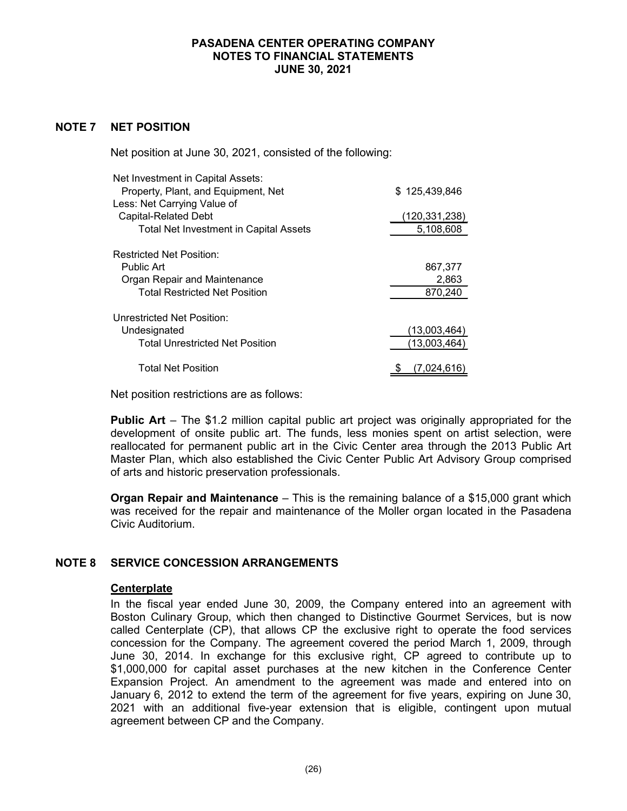#### **NOTE 7 NET POSITION**

Net position at June 30, 2021, consisted of the following:

| \$125,439,846 |
|---------------|
|               |
| (120,331,238) |
| 5,108,608     |
|               |
|               |
| 867,377       |
| 2,863         |
| 870,240       |
|               |
| (13.003.464)  |
| (13,003,464)  |
| (7.024.616)   |
|               |

Net position restrictions are as follows:

**Public Art** – The \$1.2 million capital public art project was originally appropriated for the development of onsite public art. The funds, less monies spent on artist selection, were reallocated for permanent public art in the Civic Center area through the 2013 Public Art Master Plan, which also established the Civic Center Public Art Advisory Group comprised of arts and historic preservation professionals.

**Organ Repair and Maintenance** – This is the remaining balance of a \$15,000 grant which was received for the repair and maintenance of the Moller organ located in the Pasadena Civic Auditorium.

### **NOTE 8 SERVICE CONCESSION ARRANGEMENTS**

#### **Centerplate**

In the fiscal year ended June 30, 2009, the Company entered into an agreement with Boston Culinary Group, which then changed to Distinctive Gourmet Services, but is now called Centerplate (CP), that allows CP the exclusive right to operate the food services concession for the Company. The agreement covered the period March 1, 2009, through June 30, 2014. In exchange for this exclusive right, CP agreed to contribute up to \$1,000,000 for capital asset purchases at the new kitchen in the Conference Center Expansion Project. An amendment to the agreement was made and entered into on January 6, 2012 to extend the term of the agreement for five years, expiring on June 30, 2021 with an additional five-year extension that is eligible, contingent upon mutual agreement between CP and the Company.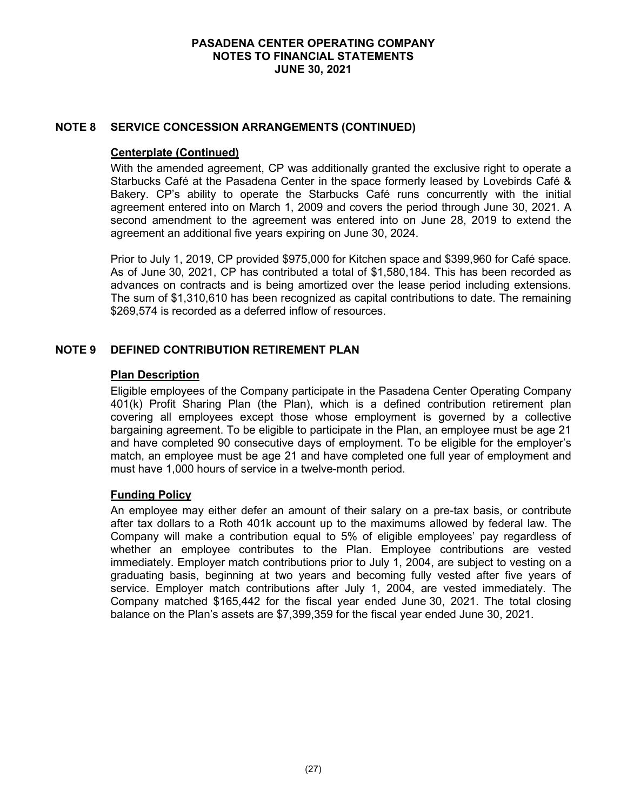### **NOTE 8 SERVICE CONCESSION ARRANGEMENTS (CONTINUED)**

#### **Centerplate (Continued)**

With the amended agreement, CP was additionally granted the exclusive right to operate a Starbucks Café at the Pasadena Center in the space formerly leased by Lovebirds Café & Bakery. CP's ability to operate the Starbucks Café runs concurrently with the initial agreement entered into on March 1, 2009 and covers the period through June 30, 2021. A second amendment to the agreement was entered into on June 28, 2019 to extend the agreement an additional five years expiring on June 30, 2024.

Prior to July 1, 2019, CP provided \$975,000 for Kitchen space and \$399,960 for Café space. As of June 30, 2021, CP has contributed a total of \$1,580,184. This has been recorded as advances on contracts and is being amortized over the lease period including extensions. The sum of \$1,310,610 has been recognized as capital contributions to date. The remaining \$269,574 is recorded as a deferred inflow of resources.

### **NOTE 9 DEFINED CONTRIBUTION RETIREMENT PLAN**

### **Plan Description**

Eligible employees of the Company participate in the Pasadena Center Operating Company 401(k) Profit Sharing Plan (the Plan), which is a defined contribution retirement plan covering all employees except those whose employment is governed by a collective bargaining agreement. To be eligible to participate in the Plan, an employee must be age 21 and have completed 90 consecutive days of employment. To be eligible for the employer's match, an employee must be age 21 and have completed one full year of employment and must have 1,000 hours of service in a twelve-month period.

### **Funding Policy**

An employee may either defer an amount of their salary on a pre-tax basis, or contribute after tax dollars to a Roth 401k account up to the maximums allowed by federal law. The Company will make a contribution equal to 5% of eligible employees' pay regardless of whether an employee contributes to the Plan. Employee contributions are vested immediately. Employer match contributions prior to July 1, 2004, are subject to vesting on a graduating basis, beginning at two years and becoming fully vested after five years of service. Employer match contributions after July 1, 2004, are vested immediately. The Company matched \$165,442 for the fiscal year ended June 30, 2021. The total closing balance on the Plan's assets are \$7,399,359 for the fiscal year ended June 30, 2021.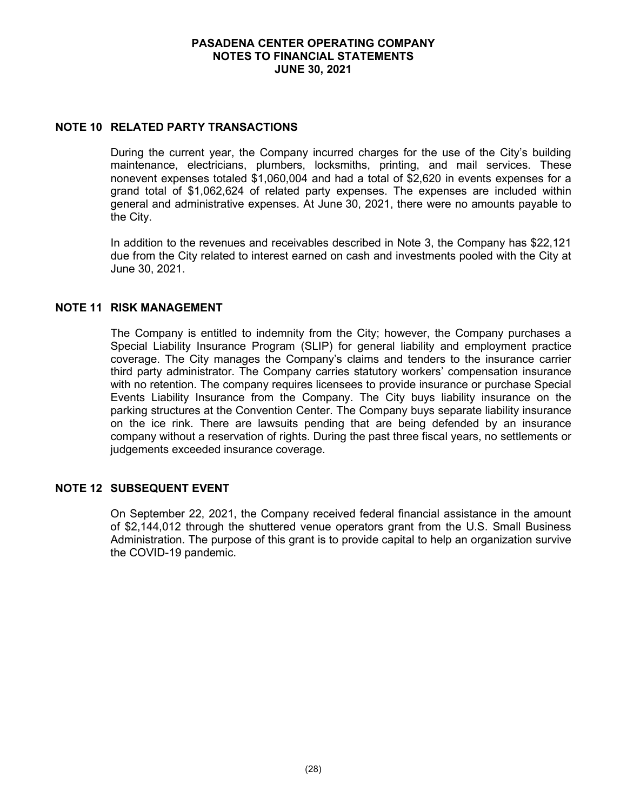### **NOTE 10 RELATED PARTY TRANSACTIONS**

During the current year, the Company incurred charges for the use of the City's building maintenance, electricians, plumbers, locksmiths, printing, and mail services. These nonevent expenses totaled \$1,060,004 and had a total of \$2,620 in events expenses for a grand total of \$1,062,624 of related party expenses. The expenses are included within general and administrative expenses. At June 30, 2021, there were no amounts payable to the City.

In addition to the revenues and receivables described in Note 3, the Company has \$22,121 due from the City related to interest earned on cash and investments pooled with the City at June 30, 2021.

# **NOTE 11 RISK MANAGEMENT**

The Company is entitled to indemnity from the City; however, the Company purchases a Special Liability Insurance Program (SLIP) for general liability and employment practice coverage. The City manages the Company's claims and tenders to the insurance carrier third party administrator. The Company carries statutory workers' compensation insurance with no retention. The company requires licensees to provide insurance or purchase Special Events Liability Insurance from the Company. The City buys liability insurance on the parking structures at the Convention Center. The Company buys separate liability insurance on the ice rink. There are lawsuits pending that are being defended by an insurance company without a reservation of rights. During the past three fiscal years, no settlements or judgements exceeded insurance coverage.

#### **NOTE 12 SUBSEQUENT EVENT**

On September 22, 2021, the Company received federal financial assistance in the amount of \$2,144,012 through the shuttered venue operators grant from the U.S. Small Business Administration. The purpose of this grant is to provide capital to help an organization survive the COVID-19 pandemic.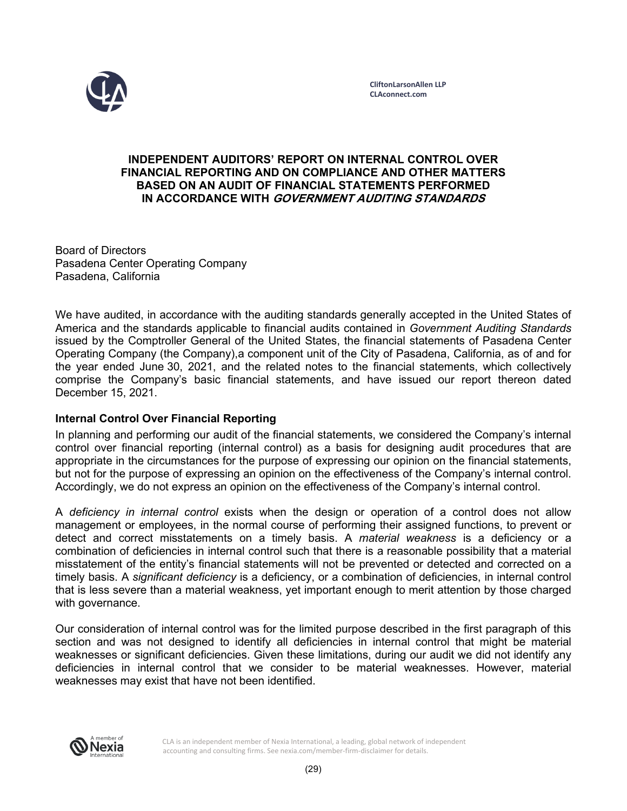

### **INDEPENDENT AUDITORS' REPORT ON INTERNAL CONTROL OVER FINANCIAL REPORTING AND ON COMPLIANCE AND OTHER MATTERS BASED ON AN AUDIT OF FINANCIAL STATEMENTS PERFORMED IN ACCORDANCE WITH GOVERNMENT AUDITING STANDARDS**

Board of Directors Pasadena Center Operating Company Pasadena, California

We have audited, in accordance with the auditing standards generally accepted in the United States of America and the standards applicable to financial audits contained in *Government Auditing Standards* issued by the Comptroller General of the United States, the financial statements of Pasadena Center Operating Company (the Company),a component unit of the City of Pasadena, California, as of and for the year ended June 30, 2021, and the related notes to the financial statements, which collectively comprise the Company's basic financial statements, and have issued our report thereon dated December 15, 2021.

# **Internal Control Over Financial Reporting**

In planning and performing our audit of the financial statements, we considered the Company's internal control over financial reporting (internal control) as a basis for designing audit procedures that are appropriate in the circumstances for the purpose of expressing our opinion on the financial statements, but not for the purpose of expressing an opinion on the effectiveness of the Company's internal control. Accordingly, we do not express an opinion on the effectiveness of the Company's internal control.

A *deficiency in internal control* exists when the design or operation of a control does not allow management or employees, in the normal course of performing their assigned functions, to prevent or detect and correct misstatements on a timely basis. A *material weakness* is a deficiency or a combination of deficiencies in internal control such that there is a reasonable possibility that a material misstatement of the entity's financial statements will not be prevented or detected and corrected on a timely basis. A *significant deficiency* is a deficiency, or a combination of deficiencies, in internal control that is less severe than a material weakness, yet important enough to merit attention by those charged with governance.

Our consideration of internal control was for the limited purpose described in the first paragraph of this section and was not designed to identify all deficiencies in internal control that might be material weaknesses or significant deficiencies. Given these limitations, during our audit we did not identify any deficiencies in internal control that we consider to be material weaknesses. However, material weaknesses may exist that have not been identified.



CLA is an independent member of Nexia International, a leading, global network of independent accounting and consulting firms. See nexia.com/member-firm-disclaimer for details.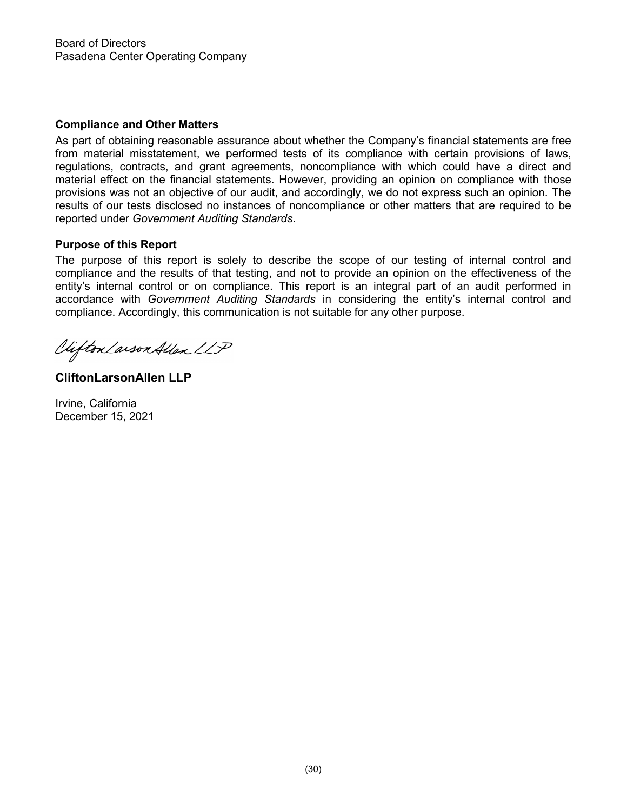### **Compliance and Other Matters**

As part of obtaining reasonable assurance about whether the Company's financial statements are free from material misstatement, we performed tests of its compliance with certain provisions of laws, regulations, contracts, and grant agreements, noncompliance with which could have a direct and material effect on the financial statements. However, providing an opinion on compliance with those provisions was not an objective of our audit, and accordingly, we do not express such an opinion. The results of our tests disclosed no instances of noncompliance or other matters that are required to be reported under *Government Auditing Standards*.

### **Purpose of this Report**

The purpose of this report is solely to describe the scope of our testing of internal control and compliance and the results of that testing, and not to provide an opinion on the effectiveness of the entity's internal control or on compliance. This report is an integral part of an audit performed in accordance with *Government Auditing Standards* in considering the entity's internal control and compliance. Accordingly, this communication is not suitable for any other purpose.

Viifton Larson Allen LLP

**CliftonLarsonAllen LLP**

Irvine, California December 15, 2021